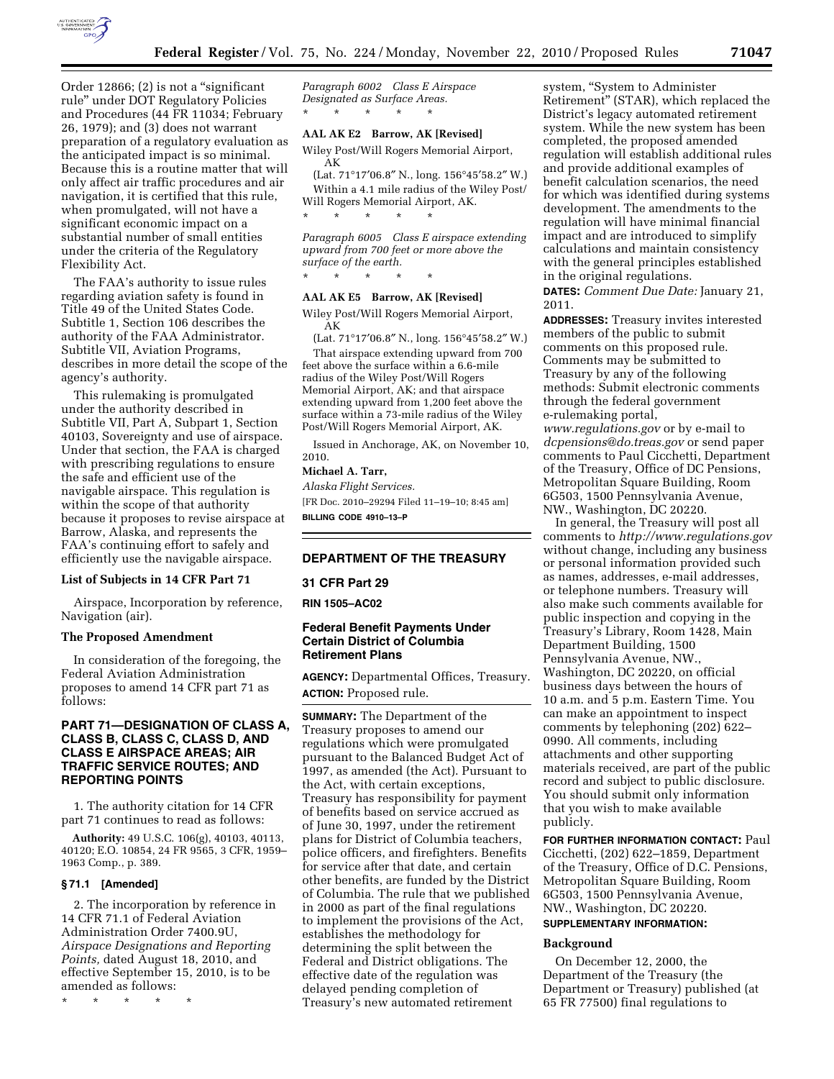

Order 12866; (2) is not a "significant rule'' under DOT Regulatory Policies and Procedures (44 FR 11034; February 26, 1979); and (3) does not warrant preparation of a regulatory evaluation as the anticipated impact is so minimal. Because this is a routine matter that will only affect air traffic procedures and air navigation, it is certified that this rule, when promulgated, will not have a significant economic impact on a substantial number of small entities under the criteria of the Regulatory Flexibility Act.

The FAA's authority to issue rules regarding aviation safety is found in Title 49 of the United States Code. Subtitle 1, Section 106 describes the authority of the FAA Administrator. Subtitle VII, Aviation Programs, describes in more detail the scope of the agency's authority.

This rulemaking is promulgated under the authority described in Subtitle VII, Part A, Subpart 1, Section 40103, Sovereignty and use of airspace. Under that section, the FAA is charged with prescribing regulations to ensure the safe and efficient use of the navigable airspace. This regulation is within the scope of that authority because it proposes to revise airspace at Barrow, Alaska, and represents the FAA's continuing effort to safely and efficiently use the navigable airspace.

# **List of Subjects in 14 CFR Part 71**

Airspace, Incorporation by reference, Navigation (air).

## **The Proposed Amendment**

In consideration of the foregoing, the Federal Aviation Administration proposes to amend 14 CFR part 71 as follows:

# **PART 71—DESIGNATION OF CLASS A, CLASS B, CLASS C, CLASS D, AND CLASS E AIRSPACE AREAS; AIR TRAFFIC SERVICE ROUTES; AND REPORTING POINTS**

1. The authority citation for 14 CFR part 71 continues to read as follows:

**Authority:** 49 U.S.C. 106(g), 40103, 40113, 40120; E.O. 10854, 24 FR 9565, 3 CFR, 1959– 1963 Comp., p. 389.

### **§ 71.1 [Amended]**

2. The incorporation by reference in 14 CFR 71.1 of Federal Aviation Administration Order 7400.9U, *Airspace Designations and Reporting Points,* dated August 18, 2010, and effective September 15, 2010, is to be amended as follows:

\* \* \* \* \*

*Paragraph 6002 Class E Airspace Designated as Surface Areas.*  \* \* \* \* \*

## **AAL AK E2 Barrow, AK [Revised]**

Wiley Post/Will Rogers Memorial Airport, AK

(Lat. 71°17′06.8″ N., long. 156°45′58.2″ W.) Within a 4.1 mile radius of the Wiley Post/ Will Rogers Memorial Airport, AK. \* \* \* \* \*

*Paragraph 6005 Class E airspace extending upward from 700 feet or more above the surface of the earth.*  \* \* \* \* \*

#### **AAL AK E5 Barrow, AK [Revised]**

Wiley Post/Will Rogers Memorial Airport, AK

(Lat. 71°17′06.8″ N., long. 156°45′58.2″ W.) That airspace extending upward from 700 feet above the surface within a 6.6-mile radius of the Wiley Post/Will Rogers Memorial Airport, AK; and that airspace extending upward from 1,200 feet above the surface within a 73-mile radius of the Wiley Post/Will Rogers Memorial Airport, AK.

Issued in Anchorage, AK, on November 10, 2010.

# **Michael A. Tarr,**

*Alaska Flight Services.*  [FR Doc. 2010–29294 Filed 11–19–10; 8:45 am] **BILLING CODE 4910–13–P** 

# **DEPARTMENT OF THE TREASURY**

# **31 CFR Part 29**

**RIN 1505–AC02** 

# **Federal Benefit Payments Under Certain District of Columbia Retirement Plans**

**AGENCY:** Departmental Offices, Treasury. **ACTION:** Proposed rule.

**SUMMARY:** The Department of the Treasury proposes to amend our regulations which were promulgated pursuant to the Balanced Budget Act of 1997, as amended (the Act). Pursuant to the Act, with certain exceptions, Treasury has responsibility for payment of benefits based on service accrued as of June 30, 1997, under the retirement plans for District of Columbia teachers, police officers, and firefighters. Benefits for service after that date, and certain other benefits, are funded by the District of Columbia. The rule that we published in 2000 as part of the final regulations to implement the provisions of the Act, establishes the methodology for determining the split between the Federal and District obligations. The effective date of the regulation was delayed pending completion of Treasury's new automated retirement

system, ''System to Administer Retirement'' (STAR), which replaced the District's legacy automated retirement system. While the new system has been completed, the proposed amended regulation will establish additional rules and provide additional examples of benefit calculation scenarios, the need for which was identified during systems development. The amendments to the regulation will have minimal financial impact and are introduced to simplify calculations and maintain consistency with the general principles established in the original regulations.

**DATES:** *Comment Due Date:* January 21, 2011.

**ADDRESSES:** Treasury invites interested members of the public to submit comments on this proposed rule. Comments may be submitted to Treasury by any of the following methods: Submit electronic comments through the federal government e-rulemaking portal, *[www.regulations.gov](http://www.regulations.gov)* or by e-mail to

*[dcpensions@do.treas.gov](mailto:dcpensions@do.treas.gov)* or send paper comments to Paul Cicchetti, Department of the Treasury, Office of DC Pensions, Metropolitan Square Building, Room 6G503, 1500 Pennsylvania Avenue, NW., Washington, DC 20220.

In general, the Treasury will post all comments to *<http://www.regulations.gov>* without change, including any business or personal information provided such as names, addresses, e-mail addresses, or telephone numbers. Treasury will also make such comments available for public inspection and copying in the Treasury's Library, Room 1428, Main Department Building, 1500 Pennsylvania Avenue, NW., Washington, DC 20220, on official business days between the hours of 10 a.m. and 5 p.m. Eastern Time. You can make an appointment to inspect comments by telephoning (202) 622– 0990. All comments, including attachments and other supporting materials received, are part of the public record and subject to public disclosure. You should submit only information that you wish to make available publicly.

**FOR FURTHER INFORMATION CONTACT:** Paul Cicchetti, (202) 622–1859, Department of the Treasury, Office of D.C. Pensions, Metropolitan Square Building, Room 6G503, 1500 Pennsylvania Avenue, NW., Washington, DC 20220. **SUPPLEMENTARY INFORMATION:** 

#### **Background**

On December 12, 2000, the Department of the Treasury (the Department or Treasury) published (at 65 FR 77500) final regulations to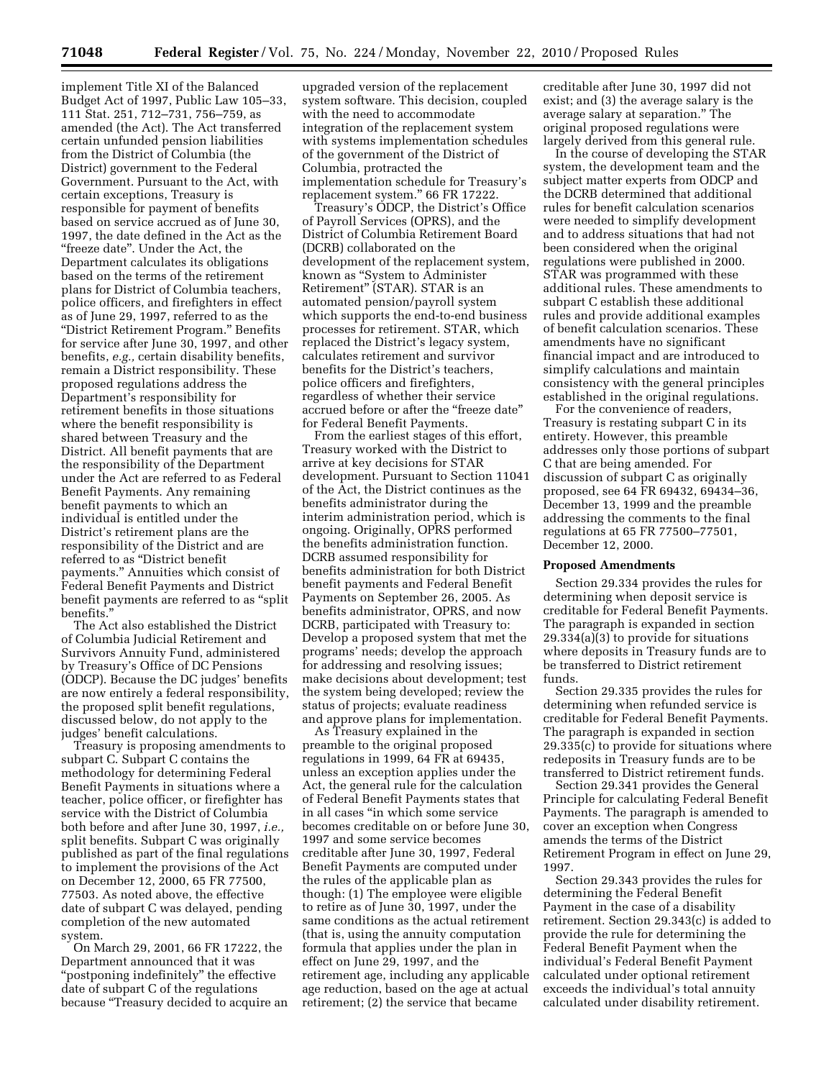implement Title XI of the Balanced Budget Act of 1997, Public Law 105–33, 111 Stat. 251, 712–731, 756–759, as amended (the Act). The Act transferred certain unfunded pension liabilities from the District of Columbia (the District) government to the Federal Government. Pursuant to the Act, with certain exceptions, Treasury is responsible for payment of benefits based on service accrued as of June 30, 1997, the date defined in the Act as the "freeze date". Under the Act, the Department calculates its obligations based on the terms of the retirement plans for District of Columbia teachers, police officers, and firefighters in effect as of June 29, 1997, referred to as the ''District Retirement Program.'' Benefits for service after June 30, 1997, and other benefits, *e.g.,* certain disability benefits, remain a District responsibility. These proposed regulations address the Department's responsibility for retirement benefits in those situations where the benefit responsibility is shared between Treasury and the District. All benefit payments that are the responsibility of the Department under the Act are referred to as Federal Benefit Payments. Any remaining benefit payments to which an individual is entitled under the District's retirement plans are the responsibility of the District and are referred to as ''District benefit payments.'' Annuities which consist of Federal Benefit Payments and District benefit payments are referred to as ''split benefits.''

The Act also established the District of Columbia Judicial Retirement and Survivors Annuity Fund, administered by Treasury's Office of DC Pensions (ODCP). Because the DC judges' benefits are now entirely a federal responsibility, the proposed split benefit regulations, discussed below, do not apply to the judges' benefit calculations.

Treasury is proposing amendments to subpart C. Subpart C contains the methodology for determining Federal Benefit Payments in situations where a teacher, police officer, or firefighter has service with the District of Columbia both before and after June 30, 1997, *i.e.,*  split benefits. Subpart C was originally published as part of the final regulations to implement the provisions of the Act on December 12, 2000, 65 FR 77500, 77503. As noted above, the effective date of subpart C was delayed, pending completion of the new automated system.

On March 29, 2001, 66 FR 17222, the Department announced that it was ''postponing indefinitely'' the effective date of subpart C of the regulations because ''Treasury decided to acquire an

upgraded version of the replacement system software. This decision, coupled with the need to accommodate integration of the replacement system with systems implementation schedules of the government of the District of Columbia, protracted the implementation schedule for Treasury's replacement system.'' 66 FR 17222.

Treasury's ODCP, the District's Office of Payroll Services (OPRS), and the District of Columbia Retirement Board (DCRB) collaborated on the development of the replacement system, known as ''System to Administer Retirement'' (STAR). STAR is an automated pension/payroll system which supports the end-to-end business processes for retirement. STAR, which replaced the District's legacy system, calculates retirement and survivor benefits for the District's teachers, police officers and firefighters, regardless of whether their service accrued before or after the ''freeze date'' for Federal Benefit Payments.

From the earliest stages of this effort, Treasury worked with the District to arrive at key decisions for STAR development. Pursuant to Section 11041 of the Act, the District continues as the benefits administrator during the interim administration period, which is ongoing. Originally, OPRS performed the benefits administration function. DCRB assumed responsibility for benefits administration for both District benefit payments and Federal Benefit Payments on September 26, 2005. As benefits administrator, OPRS, and now DCRB, participated with Treasury to: Develop a proposed system that met the programs' needs; develop the approach for addressing and resolving issues; make decisions about development; test the system being developed; review the status of projects; evaluate readiness and approve plans for implementation.

As Treasury explained in the preamble to the original proposed regulations in 1999, 64 FR at 69435, unless an exception applies under the Act, the general rule for the calculation of Federal Benefit Payments states that in all cases ''in which some service becomes creditable on or before June 30, 1997 and some service becomes creditable after June 30, 1997, Federal Benefit Payments are computed under the rules of the applicable plan as though: (1) The employee were eligible to retire as of June 30, 1997, under the same conditions as the actual retirement (that is, using the annuity computation formula that applies under the plan in effect on June 29, 1997, and the retirement age, including any applicable age reduction, based on the age at actual retirement; (2) the service that became

creditable after June 30, 1997 did not exist; and (3) the average salary is the average salary at separation.'' The original proposed regulations were largely derived from this general rule.

In the course of developing the STAR system, the development team and the subject matter experts from ODCP and the DCRB determined that additional rules for benefit calculation scenarios were needed to simplify development and to address situations that had not been considered when the original regulations were published in 2000. STAR was programmed with these additional rules. These amendments to subpart C establish these additional rules and provide additional examples of benefit calculation scenarios. These amendments have no significant financial impact and are introduced to simplify calculations and maintain consistency with the general principles established in the original regulations.

For the convenience of readers, Treasury is restating subpart C in its entirety. However, this preamble addresses only those portions of subpart C that are being amended. For discussion of subpart C as originally proposed, see 64 FR 69432, 69434–36, December 13, 1999 and the preamble addressing the comments to the final regulations at 65 FR 77500–77501, December 12, 2000.

#### **Proposed Amendments**

Section 29.334 provides the rules for determining when deposit service is creditable for Federal Benefit Payments. The paragraph is expanded in section 29.334(a)(3) to provide for situations where deposits in Treasury funds are to be transferred to District retirement funds.

Section 29.335 provides the rules for determining when refunded service is creditable for Federal Benefit Payments. The paragraph is expanded in section 29.335(c) to provide for situations where redeposits in Treasury funds are to be transferred to District retirement funds.

Section 29.341 provides the General Principle for calculating Federal Benefit Payments. The paragraph is amended to cover an exception when Congress amends the terms of the District Retirement Program in effect on June 29, 1997.

Section 29.343 provides the rules for determining the Federal Benefit Payment in the case of a disability retirement. Section 29.343(c) is added to provide the rule for determining the Federal Benefit Payment when the individual's Federal Benefit Payment calculated under optional retirement exceeds the individual's total annuity calculated under disability retirement.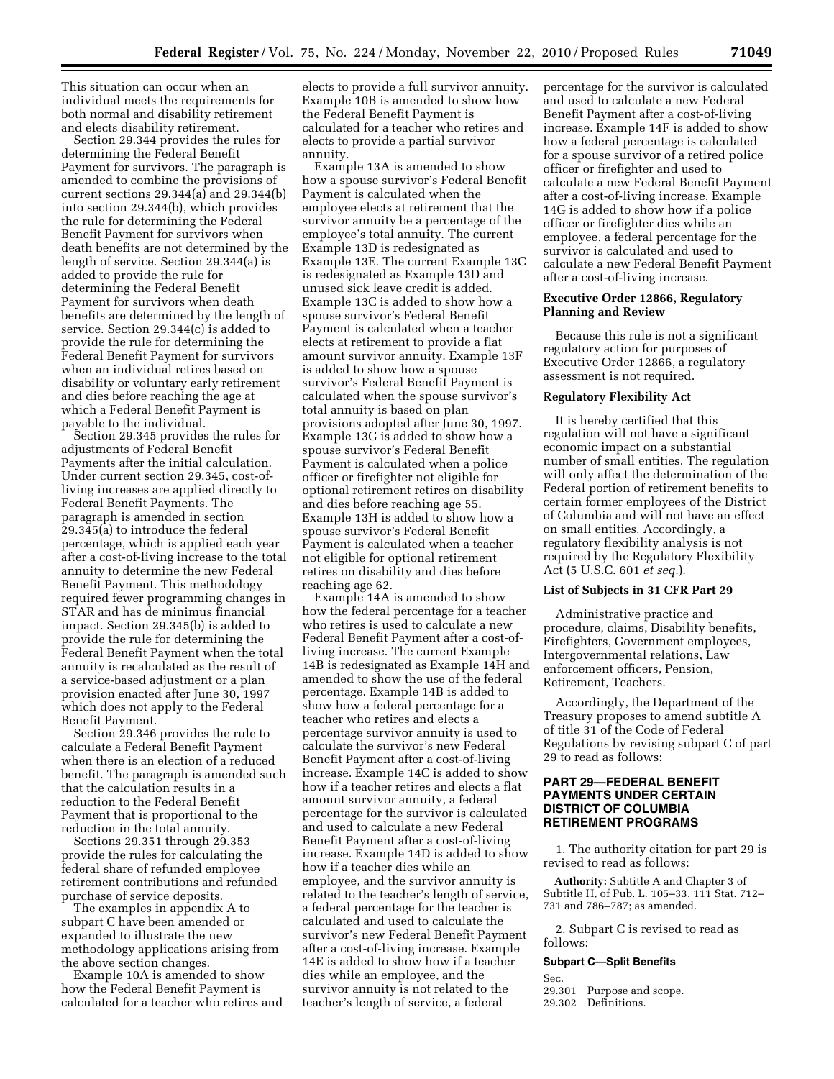This situation can occur when an individual meets the requirements for both normal and disability retirement and elects disability retirement.

Section 29.344 provides the rules for determining the Federal Benefit Payment for survivors. The paragraph is amended to combine the provisions of current sections 29.344(a) and 29.344(b) into section 29.344(b), which provides the rule for determining the Federal Benefit Payment for survivors when death benefits are not determined by the length of service. Section 29.344(a) is added to provide the rule for determining the Federal Benefit Payment for survivors when death benefits are determined by the length of service. Section 29.344(c) is added to provide the rule for determining the Federal Benefit Payment for survivors when an individual retires based on disability or voluntary early retirement and dies before reaching the age at which a Federal Benefit Payment is payable to the individual.

Section 29.345 provides the rules for adjustments of Federal Benefit Payments after the initial calculation. Under current section 29.345, cost-ofliving increases are applied directly to Federal Benefit Payments. The paragraph is amended in section 29.345(a) to introduce the federal percentage, which is applied each year after a cost-of-living increase to the total annuity to determine the new Federal Benefit Payment. This methodology required fewer programming changes in STAR and has de minimus financial impact. Section 29.345(b) is added to provide the rule for determining the Federal Benefit Payment when the total annuity is recalculated as the result of a service-based adjustment or a plan provision enacted after June 30, 1997 which does not apply to the Federal Benefit Payment.

Section 29.346 provides the rule to calculate a Federal Benefit Payment when there is an election of a reduced benefit. The paragraph is amended such that the calculation results in a reduction to the Federal Benefit Payment that is proportional to the reduction in the total annuity.

Sections 29.351 through 29.353 provide the rules for calculating the federal share of refunded employee retirement contributions and refunded purchase of service deposits.

The examples in appendix A to subpart C have been amended or expanded to illustrate the new methodology applications arising from the above section changes.

Example 10A is amended to show how the Federal Benefit Payment is calculated for a teacher who retires and elects to provide a full survivor annuity. Example 10B is amended to show how the Federal Benefit Payment is calculated for a teacher who retires and elects to provide a partial survivor annuity.

Example 13A is amended to show how a spouse survivor's Federal Benefit Payment is calculated when the employee elects at retirement that the survivor annuity be a percentage of the employee's total annuity. The current Example 13D is redesignated as Example 13E. The current Example 13C is redesignated as Example 13D and unused sick leave credit is added. Example 13C is added to show how a spouse survivor's Federal Benefit Payment is calculated when a teacher elects at retirement to provide a flat amount survivor annuity. Example 13F is added to show how a spouse survivor's Federal Benefit Payment is calculated when the spouse survivor's total annuity is based on plan provisions adopted after June 30, 1997. Example 13G is added to show how a spouse survivor's Federal Benefit Payment is calculated when a police officer or firefighter not eligible for optional retirement retires on disability and dies before reaching age 55. Example 13H is added to show how a spouse survivor's Federal Benefit Payment is calculated when a teacher not eligible for optional retirement retires on disability and dies before reaching age 62.

Example 14A is amended to show how the federal percentage for a teacher who retires is used to calculate a new Federal Benefit Payment after a cost-ofliving increase. The current Example 14B is redesignated as Example 14H and amended to show the use of the federal percentage. Example 14B is added to show how a federal percentage for a teacher who retires and elects a percentage survivor annuity is used to calculate the survivor's new Federal Benefit Payment after a cost-of-living increase. Example 14C is added to show how if a teacher retires and elects a flat amount survivor annuity, a federal percentage for the survivor is calculated and used to calculate a new Federal Benefit Payment after a cost-of-living increase. Example 14D is added to show how if a teacher dies while an employee, and the survivor annuity is related to the teacher's length of service, a federal percentage for the teacher is calculated and used to calculate the survivor's new Federal Benefit Payment after a cost-of-living increase. Example 14E is added to show how if a teacher dies while an employee, and the survivor annuity is not related to the teacher's length of service, a federal

percentage for the survivor is calculated and used to calculate a new Federal Benefit Payment after a cost-of-living increase. Example 14F is added to show how a federal percentage is calculated for a spouse survivor of a retired police officer or firefighter and used to calculate a new Federal Benefit Payment after a cost-of-living increase. Example 14G is added to show how if a police officer or firefighter dies while an employee, a federal percentage for the survivor is calculated and used to calculate a new Federal Benefit Payment after a cost-of-living increase.

# **Executive Order 12866, Regulatory Planning and Review**

Because this rule is not a significant regulatory action for purposes of Executive Order 12866, a regulatory assessment is not required.

# **Regulatory Flexibility Act**

It is hereby certified that this regulation will not have a significant economic impact on a substantial number of small entities. The regulation will only affect the determination of the Federal portion of retirement benefits to certain former employees of the District of Columbia and will not have an effect on small entities. Accordingly, a regulatory flexibility analysis is not required by the Regulatory Flexibility Act (5 U.S.C. 601 *et seq.*).

# **List of Subjects in 31 CFR Part 29**

Administrative practice and procedure, claims, Disability benefits, Firefighters, Government employees, Intergovernmental relations, Law enforcement officers, Pension, Retirement, Teachers.

Accordingly, the Department of the Treasury proposes to amend subtitle A of title 31 of the Code of Federal Regulations by revising subpart C of part 29 to read as follows:

# **PART 29—FEDERAL BENEFIT PAYMENTS UNDER CERTAIN DISTRICT OF COLUMBIA RETIREMENT PROGRAMS**

1. The authority citation for part 29 is revised to read as follows:

**Authority:** Subtitle A and Chapter 3 of Subtitle H, of Pub. L. 105–33, 111 Stat. 712– 731 and 786–787; as amended.

2. Subpart C is revised to read as follows:

#### **Subpart C—Split Benefits**

Sec.

29.301 Purpose and scope. 29.302 Definitions.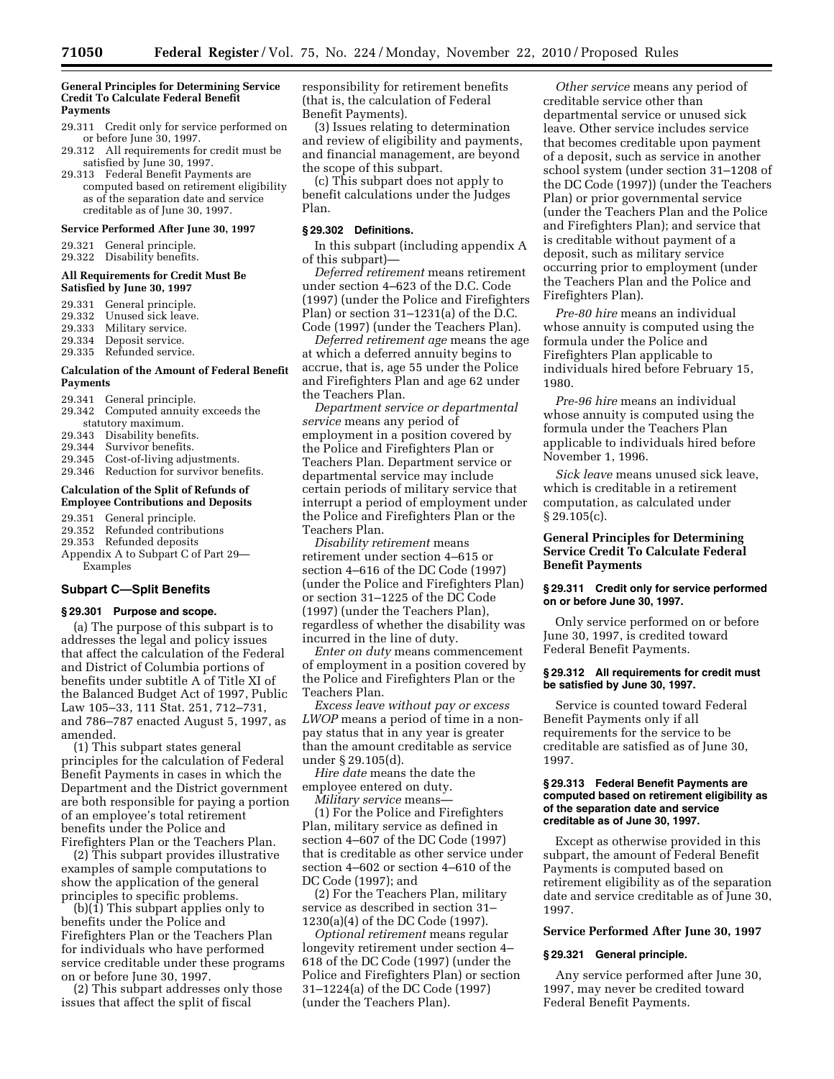#### **General Principles for Determining Service Credit To Calculate Federal Benefit Payments**

- 29.311 Credit only for service performed on or before June 30, 1997.
- 29.312 All requirements for credit must be satisfied by June 30, 1997.
- 29.313 Federal Benefit Payments are computed based on retirement eligibility as of the separation date and service creditable as of June 30, 1997.

#### **Service Performed After June 30, 1997**

- 29.321 General principle.
- 29.322 Disability benefits.

#### **All Requirements for Credit Must Be Satisfied by June 30, 1997**

- 29.331 General principle.<br>29.332 Unused sick leave.
- Unused sick leave.
- 29.333 Military service.
- 29.334 Deposit service.<br>29.335 Refunded servic
- Refunded service.

#### **Calculation of the Amount of Federal Benefit Payments**

- 29.341 General principle.
- 29.342 Computed annuity exceeds the statutory maximum.
- 29.343 Disability benefits.
- 
- 29.344 Survivor benefits.<br>29.345 Cost-of-living adju Cost-of-living adjustments.
- 29.346 Reduction for survivor benefits.

#### **Calculation of the Split of Refunds of Employee Contributions and Deposits**

- 29.351 General principle.
- 29.352 Refunded contributions
- 29.353 Refunded deposits
- Appendix A to Subpart C of Part 29— Examples

# **Subpart C—Split Benefits**

# **§ 29.301 Purpose and scope.**

(a) The purpose of this subpart is to addresses the legal and policy issues that affect the calculation of the Federal and District of Columbia portions of benefits under subtitle A of Title XI of the Balanced Budget Act of 1997, Public Law 105–33, 111 Stat. 251, 712–731, and 786–787 enacted August 5, 1997, as amended.

(1) This subpart states general principles for the calculation of Federal Benefit Payments in cases in which the Department and the District government are both responsible for paying a portion of an employee's total retirement benefits under the Police and Firefighters Plan or the Teachers Plan.

(2) This subpart provides illustrative examples of sample computations to show the application of the general principles to specific problems.

(b)(1) This subpart applies only to benefits under the Police and Firefighters Plan or the Teachers Plan for individuals who have performed service creditable under these programs on or before June 30, 1997.

(2) This subpart addresses only those issues that affect the split of fiscal

responsibility for retirement benefits (that is, the calculation of Federal Benefit Payments).

(3) Issues relating to determination and review of eligibility and payments, and financial management, are beyond the scope of this subpart.

(c) This subpart does not apply to benefit calculations under the Judges Plan.

# **§ 29.302 Definitions.**

In this subpart (including appendix A of this subpart)—

*Deferred retirement* means retirement under section 4–623 of the D.C. Code (1997) (under the Police and Firefighters Plan) or section  $31-1231(a)$  of the D.C. Code (1997) (under the Teachers Plan).

*Deferred retirement age* means the age at which a deferred annuity begins to accrue, that is, age 55 under the Police and Firefighters Plan and age 62 under the Teachers Plan.

*Department service or departmental service* means any period of employment in a position covered by the Police and Firefighters Plan or Teachers Plan. Department service or departmental service may include certain periods of military service that interrupt a period of employment under the Police and Firefighters Plan or the Teachers Plan.

*Disability retirement* means retirement under section 4–615 or section 4–616 of the DC Code (1997) (under the Police and Firefighters Plan) or section 31–1225 of the DC Code (1997) (under the Teachers Plan), regardless of whether the disability was incurred in the line of duty.

*Enter on duty* means commencement of employment in a position covered by the Police and Firefighters Plan or the Teachers Plan.

*Excess leave without pay or excess LWOP* means a period of time in a nonpay status that in any year is greater than the amount creditable as service under § 29.105(d).

*Hire date* means the date the employee entered on duty. *Military service* means—

(1) For the Police and Firefighters Plan, military service as defined in section 4–607 of the DC Code (1997) that is creditable as other service under section 4–602 or section 4–610 of the DC Code (1997); and

(2) For the Teachers Plan, military service as described in section 31– 1230(a)(4) of the DC Code (1997).

*Optional retirement* means regular longevity retirement under section 4– 618 of the DC Code (1997) (under the Police and Firefighters Plan) or section 31–1224(a) of the DC Code (1997) (under the Teachers Plan).

*Other service* means any period of creditable service other than departmental service or unused sick leave. Other service includes service that becomes creditable upon payment of a deposit, such as service in another school system (under section 31–1208 of the DC Code (1997)) (under the Teachers Plan) or prior governmental service (under the Teachers Plan and the Police and Firefighters Plan); and service that is creditable without payment of a deposit, such as military service occurring prior to employment (under the Teachers Plan and the Police and Firefighters Plan).

*Pre-80 hire* means an individual whose annuity is computed using the formula under the Police and Firefighters Plan applicable to individuals hired before February 15, 1980.

*Pre-96 hire* means an individual whose annuity is computed using the formula under the Teachers Plan applicable to individuals hired before November 1, 1996.

*Sick leave* means unused sick leave, which is creditable in a retirement computation, as calculated under  $§ 29.105(c).$ 

# **General Principles for Determining Service Credit To Calculate Federal Benefit Payments**

#### **§ 29.311 Credit only for service performed on or before June 30, 1997.**

Only service performed on or before June 30, 1997, is credited toward Federal Benefit Payments.

#### **§ 29.312 All requirements for credit must be satisfied by June 30, 1997.**

Service is counted toward Federal Benefit Payments only if all requirements for the service to be creditable are satisfied as of June 30, 1997.

#### **§ 29.313 Federal Benefit Payments are computed based on retirement eligibility as of the separation date and service creditable as of June 30, 1997.**

Except as otherwise provided in this subpart, the amount of Federal Benefit Payments is computed based on retirement eligibility as of the separation date and service creditable as of June 30, 1997.

### **Service Performed After June 30, 1997**

#### **§ 29.321 General principle.**

Any service performed after June 30, 1997, may never be credited toward Federal Benefit Payments.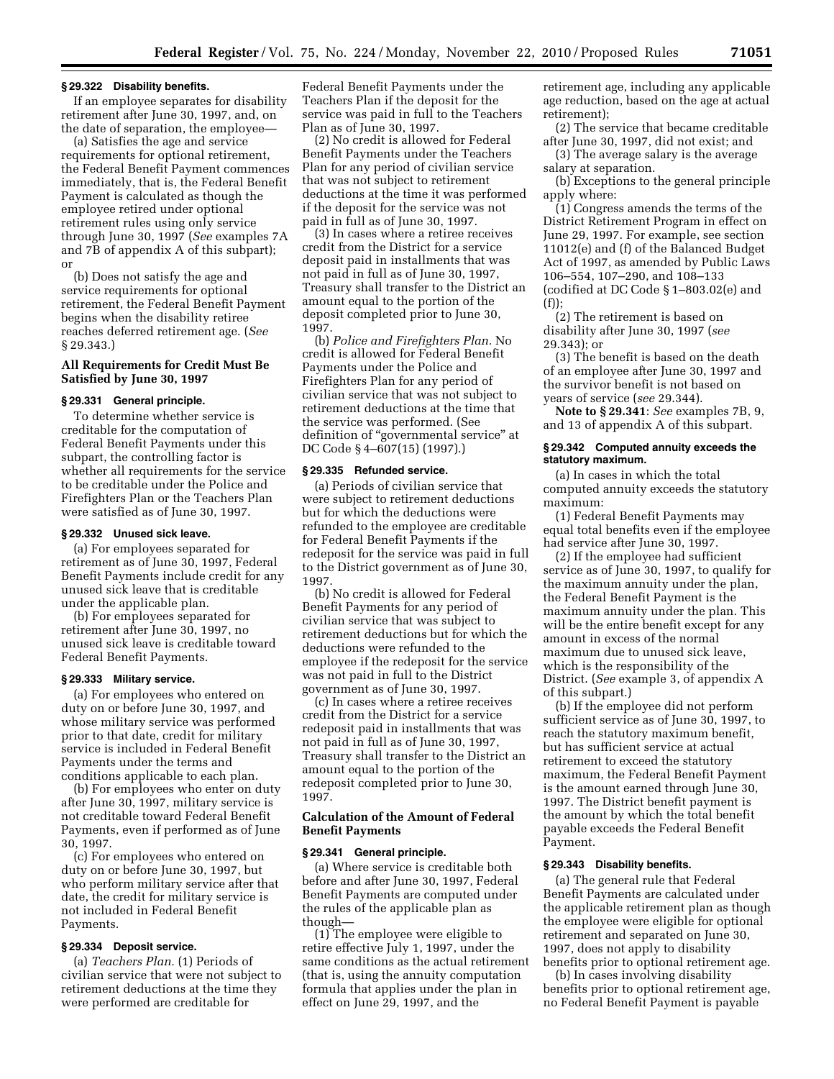#### **§ 29.322 Disability benefits.**

If an employee separates for disability retirement after June 30, 1997, and, on the date of separation, the employee—

(a) Satisfies the age and service requirements for optional retirement, the Federal Benefit Payment commences immediately, that is, the Federal Benefit Payment is calculated as though the employee retired under optional retirement rules using only service through June 30, 1997 (*See* examples 7A and 7B of appendix A of this subpart); or

(b) Does not satisfy the age and service requirements for optional retirement, the Federal Benefit Payment begins when the disability retiree reaches deferred retirement age. (*See*  § 29.343.)

# **All Requirements for Credit Must Be Satisfied by June 30, 1997**

#### **§ 29.331 General principle.**

To determine whether service is creditable for the computation of Federal Benefit Payments under this subpart, the controlling factor is whether all requirements for the service to be creditable under the Police and Firefighters Plan or the Teachers Plan were satisfied as of June 30, 1997.

#### **§ 29.332 Unused sick leave.**

(a) For employees separated for retirement as of June 30, 1997, Federal Benefit Payments include credit for any unused sick leave that is creditable under the applicable plan.

(b) For employees separated for retirement after June 30, 1997, no unused sick leave is creditable toward Federal Benefit Payments.

# **§ 29.333 Military service.**

(a) For employees who entered on duty on or before June 30, 1997, and whose military service was performed prior to that date, credit for military service is included in Federal Benefit Payments under the terms and conditions applicable to each plan.

(b) For employees who enter on duty after June 30, 1997, military service is not creditable toward Federal Benefit Payments, even if performed as of June 30, 1997.

(c) For employees who entered on duty on or before June 30, 1997, but who perform military service after that date, the credit for military service is not included in Federal Benefit Payments.

# **§ 29.334 Deposit service.**

(a) *Teachers Plan.* (1) Periods of civilian service that were not subject to retirement deductions at the time they were performed are creditable for

Federal Benefit Payments under the Teachers Plan if the deposit for the service was paid in full to the Teachers Plan as of June 30, 1997.

(2) No credit is allowed for Federal Benefit Payments under the Teachers Plan for any period of civilian service that was not subject to retirement deductions at the time it was performed if the deposit for the service was not paid in full as of June 30, 1997.

(3) In cases where a retiree receives credit from the District for a service deposit paid in installments that was not paid in full as of June 30, 1997, Treasury shall transfer to the District an amount equal to the portion of the deposit completed prior to June 30, 1997.

(b) *Police and Firefighters Plan.* No credit is allowed for Federal Benefit Payments under the Police and Firefighters Plan for any period of civilian service that was not subject to retirement deductions at the time that the service was performed. (See definition of ''governmental service'' at DC Code § 4–607(15) (1997).)

### **§ 29.335 Refunded service.**

(a) Periods of civilian service that were subject to retirement deductions but for which the deductions were refunded to the employee are creditable for Federal Benefit Payments if the redeposit for the service was paid in full to the District government as of June 30, 1997.

(b) No credit is allowed for Federal Benefit Payments for any period of civilian service that was subject to retirement deductions but for which the deductions were refunded to the employee if the redeposit for the service was not paid in full to the District government as of June 30, 1997.

(c) In cases where a retiree receives credit from the District for a service redeposit paid in installments that was not paid in full as of June 30, 1997, Treasury shall transfer to the District an amount equal to the portion of the redeposit completed prior to June 30, 1997.

# **Calculation of the Amount of Federal Benefit Payments**

#### **§ 29.341 General principle.**

(a) Where service is creditable both before and after June 30, 1997, Federal Benefit Payments are computed under the rules of the applicable plan as though—

(1) The employee were eligible to retire effective July 1, 1997, under the same conditions as the actual retirement (that is, using the annuity computation formula that applies under the plan in effect on June 29, 1997, and the

retirement age, including any applicable age reduction, based on the age at actual retirement);

(2) The service that became creditable after June 30, 1997, did not exist; and

(3) The average salary is the average salary at separation.

(b) Exceptions to the general principle apply where:

(1) Congress amends the terms of the District Retirement Program in effect on June 29, 1997. For example, see section 11012(e) and (f) of the Balanced Budget Act of 1997, as amended by Public Laws 106–554, 107–290, and 108–133 (codified at DC Code § 1–803.02(e) and (f));

(2) The retirement is based on disability after June 30, 1997 (*see*  29.343); or

(3) The benefit is based on the death of an employee after June 30, 1997 and the survivor benefit is not based on years of service (*see* 29.344).

**Note to § 29.341**: *See* examples 7B, 9, and 13 of appendix A of this subpart.

#### **§ 29.342 Computed annuity exceeds the statutory maximum.**

(a) In cases in which the total computed annuity exceeds the statutory maximum:

(1) Federal Benefit Payments may equal total benefits even if the employee had service after June 30, 1997.

(2) If the employee had sufficient service as of June 30, 1997, to qualify for the maximum annuity under the plan, the Federal Benefit Payment is the maximum annuity under the plan. This will be the entire benefit except for any amount in excess of the normal maximum due to unused sick leave, which is the responsibility of the District. (*See* example 3, of appendix A of this subpart.)

(b) If the employee did not perform sufficient service as of June 30, 1997, to reach the statutory maximum benefit, but has sufficient service at actual retirement to exceed the statutory maximum, the Federal Benefit Payment is the amount earned through June 30, 1997. The District benefit payment is the amount by which the total benefit payable exceeds the Federal Benefit Payment.

#### **§ 29.343 Disability benefits.**

(a) The general rule that Federal Benefit Payments are calculated under the applicable retirement plan as though the employee were eligible for optional retirement and separated on June 30, 1997, does not apply to disability benefits prior to optional retirement age.

(b) In cases involving disability benefits prior to optional retirement age, no Federal Benefit Payment is payable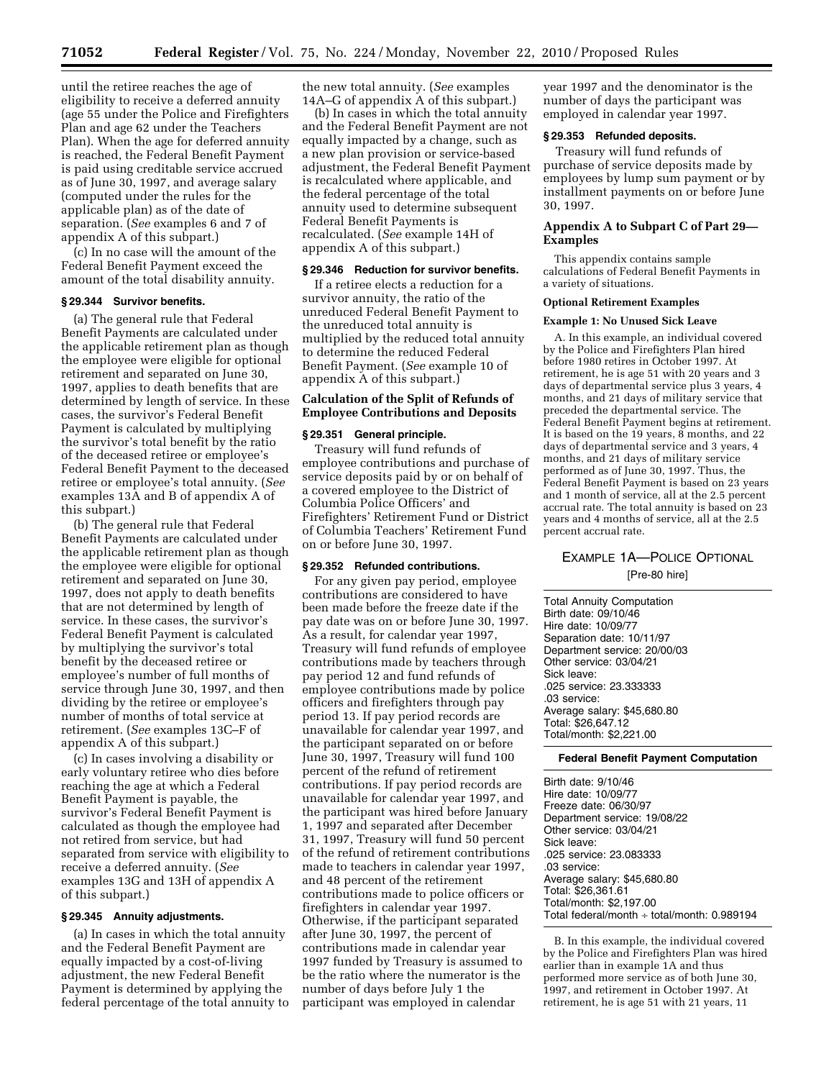until the retiree reaches the age of eligibility to receive a deferred annuity (age 55 under the Police and Firefighters Plan and age 62 under the Teachers Plan). When the age for deferred annuity is reached, the Federal Benefit Payment is paid using creditable service accrued as of June 30, 1997, and average salary (computed under the rules for the applicable plan) as of the date of separation. (*See* examples 6 and 7 of appendix A of this subpart.)

(c) In no case will the amount of the Federal Benefit Payment exceed the amount of the total disability annuity.

#### **§ 29.344 Survivor benefits.**

(a) The general rule that Federal Benefit Payments are calculated under the applicable retirement plan as though the employee were eligible for optional retirement and separated on June 30, 1997, applies to death benefits that are determined by length of service. In these cases, the survivor's Federal Benefit Payment is calculated by multiplying the survivor's total benefit by the ratio of the deceased retiree or employee's Federal Benefit Payment to the deceased retiree or employee's total annuity. (*See*  examples 13A and B of appendix A of this subpart.)

(b) The general rule that Federal Benefit Payments are calculated under the applicable retirement plan as though the employee were eligible for optional retirement and separated on June 30, 1997, does not apply to death benefits that are not determined by length of service. In these cases, the survivor's Federal Benefit Payment is calculated by multiplying the survivor's total benefit by the deceased retiree or employee's number of full months of service through June 30, 1997, and then dividing by the retiree or employee's number of months of total service at retirement. (*See* examples 13C–F of appendix A of this subpart.)

(c) In cases involving a disability or early voluntary retiree who dies before reaching the age at which a Federal Benefit Payment is payable, the survivor's Federal Benefit Payment is calculated as though the employee had not retired from service, but had separated from service with eligibility to receive a deferred annuity. (*See*  examples 13G and 13H of appendix A of this subpart.)

# **§ 29.345 Annuity adjustments.**

(a) In cases in which the total annuity and the Federal Benefit Payment are equally impacted by a cost-of-living adjustment, the new Federal Benefit Payment is determined by applying the federal percentage of the total annuity to the new total annuity. (*See* examples 14A–G of appendix A of this subpart.)

(b) In cases in which the total annuity and the Federal Benefit Payment are not equally impacted by a change, such as a new plan provision or service-based adjustment, the Federal Benefit Payment is recalculated where applicable, and the federal percentage of the total annuity used to determine subsequent Federal Benefit Payments is recalculated. (*See* example 14H of appendix A of this subpart.)

#### **§ 29.346 Reduction for survivor benefits.**

If a retiree elects a reduction for a survivor annuity, the ratio of the unreduced Federal Benefit Payment to the unreduced total annuity is multiplied by the reduced total annuity to determine the reduced Federal Benefit Payment. (*See* example 10 of appendix A of this subpart.)

## **Calculation of the Split of Refunds of Employee Contributions and Deposits**

#### **§ 29.351 General principle.**

Treasury will fund refunds of employee contributions and purchase of service deposits paid by or on behalf of a covered employee to the District of Columbia Police Officers' and Firefighters' Retirement Fund or District of Columbia Teachers' Retirement Fund on or before June 30, 1997.

#### **§ 29.352 Refunded contributions.**

For any given pay period, employee contributions are considered to have been made before the freeze date if the pay date was on or before June 30, 1997. As a result, for calendar year 1997, Treasury will fund refunds of employee contributions made by teachers through pay period 12 and fund refunds of employee contributions made by police officers and firefighters through pay period 13. If pay period records are unavailable for calendar year 1997, and the participant separated on or before June 30, 1997, Treasury will fund 100 percent of the refund of retirement contributions. If pay period records are unavailable for calendar year 1997, and the participant was hired before January 1, 1997 and separated after December 31, 1997, Treasury will fund 50 percent of the refund of retirement contributions made to teachers in calendar year 1997, and 48 percent of the retirement contributions made to police officers or firefighters in calendar year 1997. Otherwise, if the participant separated after June 30, 1997, the percent of contributions made in calendar year 1997 funded by Treasury is assumed to be the ratio where the numerator is the number of days before July 1 the participant was employed in calendar

year 1997 and the denominator is the number of days the participant was employed in calendar year 1997.

# **§ 29.353 Refunded deposits.**

Treasury will fund refunds of purchase of service deposits made by employees by lump sum payment or by installment payments on or before June 30, 1997.

# **Appendix A to Subpart C of Part 29— Examples**

This appendix contains sample calculations of Federal Benefit Payments in a variety of situations.

# **Optional Retirement Examples**

# **Example 1: No Unused Sick Leave**

A. In this example, an individual covered by the Police and Firefighters Plan hired before 1980 retires in October 1997. At retirement, he is age 51 with 20 years and 3 days of departmental service plus 3 years, 4 months, and 21 days of military service that preceded the departmental service. The Federal Benefit Payment begins at retirement. It is based on the 19 years, 8 months, and 22 days of departmental service and 3 years, 4 months, and 21 days of military service performed as of June 30, 1997. Thus, the Federal Benefit Payment is based on 23 years and 1 month of service, all at the 2.5 percent accrual rate. The total annuity is based on 23 years and 4 months of service, all at the 2.5 percent accrual rate.

# EXAMPLE 1A—POLICE OPTIONAL

[Pre-80 hire]

Total Annuity Computation Birth date: 09/10/46 Hire date: 10/09/77 Separation date: 10/11/97 Department service: 20/00/03 Other service: 03/04/21 Sick leave: .025 service: 23.333333 .03 service: Average salary: \$45,680.80 Total: \$26,647.12 Total/month: \$2,221.00

# **Federal Benefit Payment Computation**

Birth date: 9/10/46 Hire date: 10/09/77 Freeze date: 06/30/97 Department service: 19/08/22 Other service: 03/04/21 Sick leave: .025 service: 23.083333 .03 service: Average salary: \$45,680.80 Total: \$26,361.61 Total/month: \$2,197.00 Total federal/month ÷ total/month: 0.989194

B. In this example, the individual covered by the Police and Firefighters Plan was hired earlier than in example 1A and thus performed more service as of both June 30, 1997, and retirement in October 1997. At retirement, he is age 51 with 21 years, 11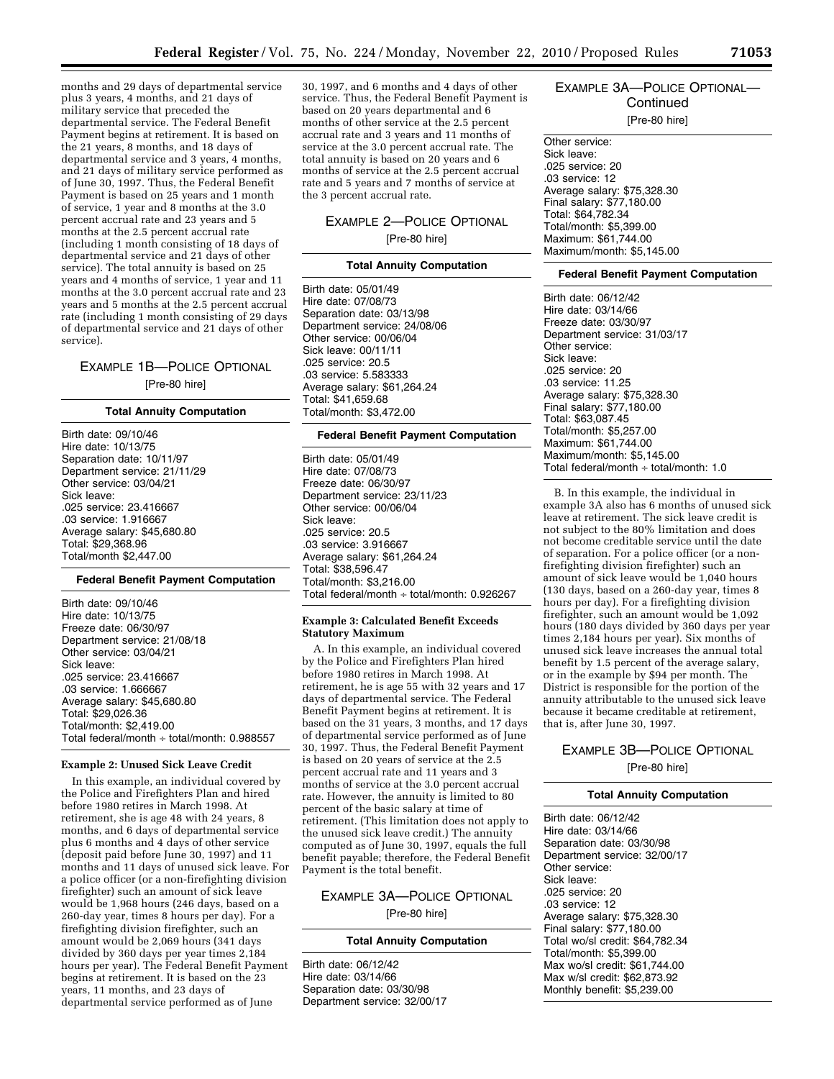months and 29 days of departmental service plus 3 years, 4 months, and 21 days of military service that preceded the departmental service. The Federal Benefit Payment begins at retirement. It is based on the 21 years, 8 months, and 18 days of departmental service and 3 years, 4 months, and 21 days of military service performed as of June 30, 1997. Thus, the Federal Benefit Payment is based on 25 years and 1 month of service, 1 year and 8 months at the 3.0 percent accrual rate and 23 years and 5 months at the 2.5 percent accrual rate (including 1 month consisting of 18 days of departmental service and 21 days of other service). The total annuity is based on 25 years and 4 months of service, 1 year and 11 months at the 3.0 percent accrual rate and 23 years and 5 months at the 2.5 percent accrual rate (including 1 month consisting of 29 days of departmental service and 21 days of other service).

# EXAMPLE 1B—POLICE OPTIONAL [Pre-80 hire]

#### **Total Annuity Computation**

Birth date: 09/10/46 Hire date: 10/13/75 Separation date: 10/11/97 Department service: 21/11/29 Other service: 03/04/21 Sick leave: .025 service: 23.416667 .03 service: 1.916667 Average salary: \$45,680.80 Total: \$29,368.96 Total/month \$2,447.00

#### **Federal Benefit Payment Computation**

Birth date: 09/10/46 Hire date: 10/13/75 Freeze date: 06/30/97 Department service: 21/08/18 Other service: 03/04/21 Sick leave: .025 service: 23.416667 .03 service: 1.666667 Average salary: \$45,680.80 Total: \$29,026.36 Total/month: \$2,419.00 Total federal/month ÷ total/month: 0.988557

#### **Example 2: Unused Sick Leave Credit**

In this example, an individual covered by the Police and Firefighters Plan and hired before 1980 retires in March 1998. At retirement, she is age 48 with 24 years, 8 months, and 6 days of departmental service plus 6 months and 4 days of other service (deposit paid before June 30, 1997) and 11 months and 11 days of unused sick leave. For a police officer (or a non-firefighting division firefighter) such an amount of sick leave would be 1,968 hours (246 days, based on a 260-day year, times 8 hours per day). For a firefighting division firefighter, such an amount would be 2,069 hours (341 days divided by 360 days per year times 2,184 hours per year). The Federal Benefit Payment begins at retirement. It is based on the 23 years, 11 months, and 23 days of departmental service performed as of June

30, 1997, and 6 months and 4 days of other service. Thus, the Federal Benefit Payment is based on 20 years departmental and 6 months of other service at the 2.5 percent accrual rate and 3 years and 11 months of service at the 3.0 percent accrual rate. The total annuity is based on 20 years and 6 months of service at the 2.5 percent accrual rate and 5 years and 7 months of service at the 3 percent accrual rate.

# EXAMPLE 2—POLICE OPTIONAL [Pre-80 hire]

#### **Total Annuity Computation**

Birth date: 05/01/49 Hire date: 07/08/73 Separation date: 03/13/98 Department service: 24/08/06 Other service: 00/06/04 Sick leave: 00/11/11 .025 service: 20.5 .03 service: 5.583333 Average salary: \$61,264.24 Total: \$41,659.68 Total/month: \$3,472.00

#### **Federal Benefit Payment Computation**

Birth date: 05/01/49 Hire date: 07/08/73 Freeze date: 06/30/97 Department service: 23/11/23 Other service: 00/06/04 Sick leave: .025 service: 20.5 .03 service: 3.916667 Average salary: \$61,264.24 Total: \$38,596.47 Total/month: \$3,216.00 Total federal/month ÷ total/month: 0.926267

#### **Example 3: Calculated Benefit Exceeds Statutory Maximum**

A. In this example, an individual covered by the Police and Firefighters Plan hired before 1980 retires in March 1998. At retirement, he is age 55 with 32 years and 17 days of departmental service. The Federal Benefit Payment begins at retirement. It is based on the 31 years, 3 months, and 17 days of departmental service performed as of June 30, 1997. Thus, the Federal Benefit Payment is based on 20 years of service at the 2.5 percent accrual rate and 11 years and 3 months of service at the 3.0 percent accrual rate. However, the annuity is limited to 80 percent of the basic salary at time of retirement. (This limitation does not apply to the unused sick leave credit.) The annuity computed as of June 30, 1997, equals the full benefit payable; therefore, the Federal Benefit Payment is the total benefit.

# EXAMPLE 3A—POLICE OPTIONAL [Pre-80 hire]

#### **Total Annuity Computation**

Birth date: 06/12/42 Hire date: 03/14/66 Separation date: 03/30/98 Department service: 32/00/17

# EXAMPLE 3A—POLICE OPTIONAL— **Continued**

[Pre-80 hire]

Other service: Sick leave: .025 service: 20 .03 service: 12 Average salary: \$75,328.30 Final salary: \$77,180.00 Total: \$64,782.34 Total/month: \$5,399.00 Maximum: \$61,744.00 Maximum/month: \$5,145.00

#### **Federal Benefit Payment Computation**

Birth date: 06/12/42 Hire date: 03/14/66 Freeze date: 03/30/97 Department service: 31/03/17 Other service: Sick leave: .025 service: 20 .03 service: 11.25 Average salary: \$75,328.30 Final salary: \$77,180.00 Total: \$63,087.45 Total/month: \$5,257.00 Maximum: \$61,744.00 Maximum/month: \$5,145.00 Total federal/month ÷ total/month: 1.0

B. In this example, the individual in example 3A also has 6 months of unused sick leave at retirement. The sick leave credit is not subject to the 80% limitation and does not become creditable service until the date of separation. For a police officer (or a nonfirefighting division firefighter) such an amount of sick leave would be 1,040 hours (130 days, based on a 260-day year, times 8 hours per day). For a firefighting division firefighter, such an amount would be 1,092 hours (180 days divided by 360 days per year times 2,184 hours per year). Six months of unused sick leave increases the annual total benefit by 1.5 percent of the average salary, or in the example by \$94 per month. The District is responsible for the portion of the annuity attributable to the unused sick leave because it became creditable at retirement, that is, after June 30, 1997.

# EXAMPLE 3B—POLICE OPTIONAL [Pre-80 hire]

#### **Total Annuity Computation**

Birth date: 06/12/42 Hire date: 03/14/66 Separation date: 03/30/98 Department service: 32/00/17 Other service: Sick leave: .025 service: 20 .03 service: 12 Average salary: \$75,328.30 Final salary: \$77,180.00 Total wo/sl credit: \$64,782.34 Total/month: \$5,399.00 Max wo/sl credit: \$61,744.00 Max w/sl credit: \$62,873.92 Monthly benefit: \$5,239.00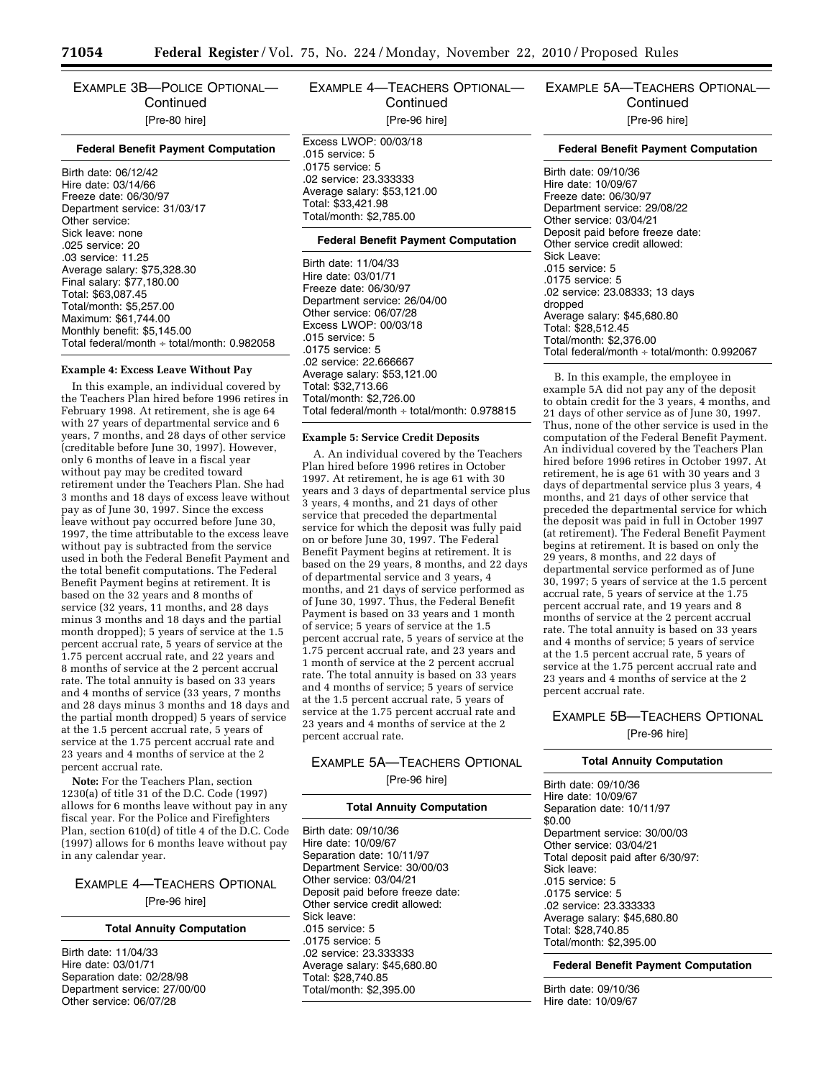EXAMPLE 3B—POLICE OPTIONAL— **Continued** [Pre-80 hire]

#### **Federal Benefit Payment Computation**

Birth date: 06/12/42 Hire date: 03/14/66 Freeze date: 06/30/97 Department service: 31/03/17 Other service: Sick leave: none .025 service: 20 .03 service: 11.25 Average salary: \$75,328.30 Final salary: \$77,180.00 Total: \$63,087.45 Total/month: \$5,257.00 Maximum: \$61,744.00 Monthly benefit: \$5,145.00 Total federal/month ÷ total/month: 0.982058

#### **Example 4: Excess Leave Without Pay**

In this example, an individual covered by the Teachers Plan hired before 1996 retires in February 1998. At retirement, she is age 64 with 27 years of departmental service and 6 years, 7 months, and 28 days of other service (creditable before June 30, 1997). However, only 6 months of leave in a fiscal year without pay may be credited toward retirement under the Teachers Plan. She had 3 months and 18 days of excess leave without pay as of June 30, 1997. Since the excess leave without pay occurred before June 30, 1997, the time attributable to the excess leave without pay is subtracted from the service used in both the Federal Benefit Payment and the total benefit computations. The Federal Benefit Payment begins at retirement. It is based on the 32 years and 8 months of service (32 years, 11 months, and 28 days minus 3 months and 18 days and the partial month dropped); 5 years of service at the 1.5 percent accrual rate, 5 years of service at the 1.75 percent accrual rate, and 22 years and 8 months of service at the 2 percent accrual rate. The total annuity is based on 33 years and 4 months of service (33 years, 7 months and 28 days minus 3 months and 18 days and the partial month dropped) 5 years of service at the 1.5 percent accrual rate, 5 years of service at the 1.75 percent accrual rate and 23 years and 4 months of service at the 2 percent accrual rate.

**Note:** For the Teachers Plan, section 1230(a) of title 31 of the D.C. Code (1997) allows for 6 months leave without pay in any fiscal year. For the Police and Firefighters Plan, section 610(d) of title 4 of the D.C. Code (1997) allows for 6 months leave without pay in any calendar year.

# EXAMPLE 4—TEACHERS OPTIONAL [Pre-96 hire]

# **Total Annuity Computation**

Birth date: 11/04/33 Hire date: 03/01/71 Separation date: 02/28/98 Department service: 27/00/00 Other service: 06/07/28

# EXAMPLE 4—TEACHERS OPTIONAL— **Continued** [Pre-96 hire]

Excess LWOP: 00/03/18 .015 service: 5 .0175 service: 5 .02 service: 23.333333 Average salary: \$53,121.00 Total: \$33,421.98 Total/month: \$2,785.00

# **Federal Benefit Payment Computation**

Birth date: 11/04/33 Hire date: 03/01/71 Freeze date: 06/30/97 Department service: 26/04/00 Other service: 06/07/28 Excess LWOP: 00/03/18 .015 service: 5 .0175 service: 5 .02 service: 22.666667 Average salary: \$53,121.00 Total: \$32,713.66 Total/month: \$2,726.00 Total federal/month ÷ total/month: 0.978815

#### **Example 5: Service Credit Deposits**

A. An individual covered by the Teachers Plan hired before 1996 retires in October 1997. At retirement, he is age 61 with 30 years and 3 days of departmental service plus 3 years, 4 months, and 21 days of other service that preceded the departmental service for which the deposit was fully paid on or before June 30, 1997. The Federal Benefit Payment begins at retirement. It is based on the 29 years, 8 months, and 22 days of departmental service and 3 years, 4 months, and 21 days of service performed as of June 30, 1997. Thus, the Federal Benefit Payment is based on 33 years and 1 month of service; 5 years of service at the 1.5 percent accrual rate, 5 years of service at the 1.75 percent accrual rate, and 23 years and 1 month of service at the 2 percent accrual rate. The total annuity is based on 33 years and 4 months of service; 5 years of service at the 1.5 percent accrual rate, 5 years of service at the 1.75 percent accrual rate and 23 years and 4 months of service at the 2 percent accrual rate.

# EXAMPLE 5A—TEACHERS OPTIONAL [Pre-96 hire]

#### **Total Annuity Computation**

Birth date: 09/10/36 Hire date: 10/09/67 Separation date: 10/11/97 Department Service: 30/00/03 Other service: 03/04/21 Deposit paid before freeze date: Other service credit allowed: Sick leave: .015 service: 5 .0175 service: 5 .02 service: 23.333333 Average salary: \$45,680.80 Total: \$28,740.85 Total/month: \$2,395.00

EXAMPLE 5A—TEACHERS OPTIONAL— **Continued** [Pre-96 hire]

#### **Federal Benefit Payment Computation**

Birth date: 09/10/36 Hire date: 10/09/67 Freeze date: 06/30/97 Department service: 29/08/22 Other service: 03/04/21 Deposit paid before freeze date: Other service credit allowed: Sick Leave: .015 service: 5 .0175 service: 5 .02 service: 23.08333; 13 days dropped Average salary: \$45,680.80 Total: \$28,512.45 Total/month: \$2,376.00 Total federal/month ÷ total/month: 0.992067

B. In this example, the employee in example 5A did not pay any of the deposit to obtain credit for the 3 years, 4 months, and 21 days of other service as of June 30, 1997. Thus, none of the other service is used in the computation of the Federal Benefit Payment. An individual covered by the Teachers Plan hired before 1996 retires in October 1997. At retirement, he is age 61 with 30 years and 3 days of departmental service plus 3 years, 4 months, and 21 days of other service that preceded the departmental service for which the deposit was paid in full in October 1997 (at retirement). The Federal Benefit Payment begins at retirement. It is based on only the 29 years, 8 months, and 22 days of departmental service performed as of June 30, 1997; 5 years of service at the 1.5 percent accrual rate, 5 years of service at the 1.75 percent accrual rate, and 19 years and 8 months of service at the 2 percent accrual rate. The total annuity is based on 33 years and 4 months of service; 5 years of service at the 1.5 percent accrual rate, 5 years of service at the 1.75 percent accrual rate and 23 years and 4 months of service at the 2 percent accrual rate.

# EXAMPLE 5B—TEACHERS OPTIONAL

[Pre-96 hire]

#### **Total Annuity Computation**

Birth date: 09/10/36 Hire date: 10/09/67 Separation date: 10/11/97 \$0.00 Department service: 30/00/03 Other service: 03/04/21 Total deposit paid after 6/30/97: Sick leave: .015 service: 5 .0175 service: 5 .02 service: 23.333333 Average salary: \$45,680.80 Total: \$28,740.85 Total/month: \$2,395.00

**Federal Benefit Payment Computation** 

Birth date: 09/10/36 Hire date: 10/09/67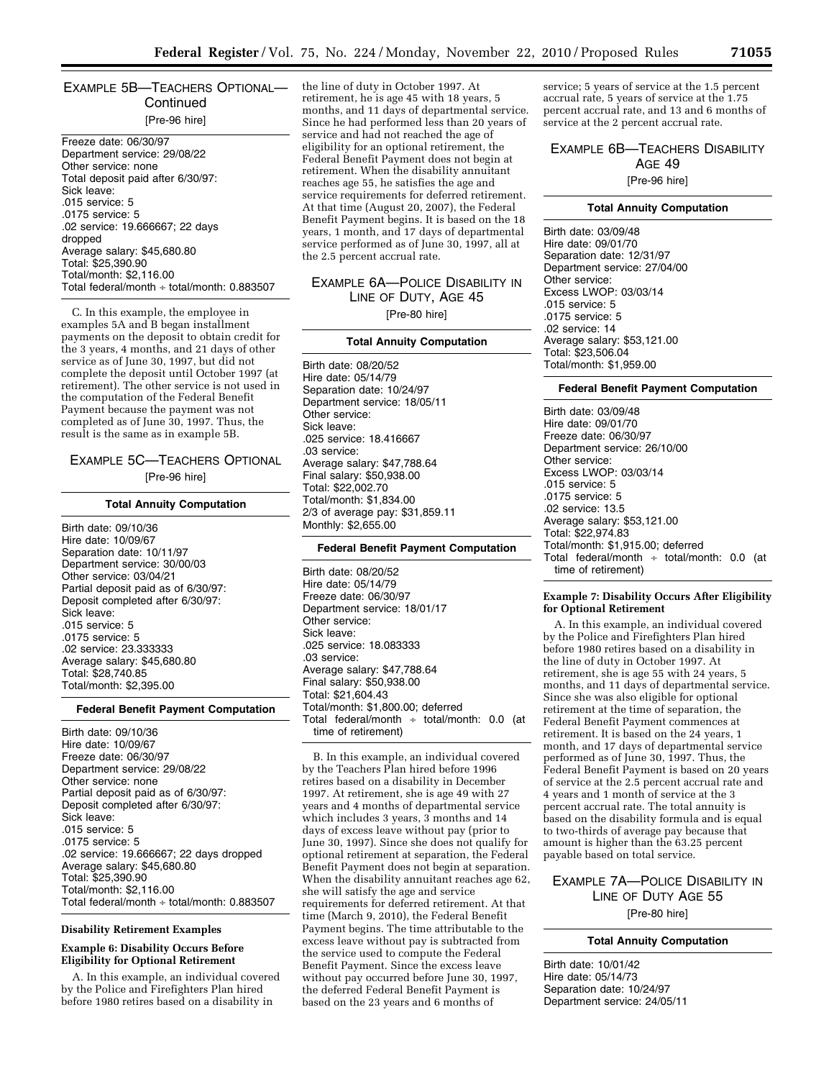# EXAMPLE 5B—TEACHERS OPTIONAL— **Continued** [Pre-96 hire]

Freeze date: 06/30/97 Department service: 29/08/22 Other service: none Total deposit paid after 6/30/97: Sick leave: .015 service: 5 .0175 service: 5 .02 service: 19.666667; 22 days dropped Average salary: \$45,680.80 Total: \$25,390.90 Total/month: \$2,116.00 Total federal/month ÷ total/month: 0.883507

C. In this example, the employee in examples 5A and B began installment payments on the deposit to obtain credit for the 3 years, 4 months, and 21 days of other service as of June 30, 1997, but did not complete the deposit until October 1997 (at retirement). The other service is not used in the computation of the Federal Benefit Payment because the payment was not completed as of June 30, 1997. Thus, the result is the same as in example 5B.

# EXAMPLE 5C—TEACHERS OPTIONAL [Pre-96 hire]

#### **Total Annuity Computation**

Birth date: 09/10/36 Hire date: 10/09/67 Separation date: 10/11/97 Department service: 30/00/03 Other service: 03/04/21 Partial deposit paid as of 6/30/97: Deposit completed after 6/30/97: Sick leave: .015 service: 5 .0175 service: 5 .02 service: 23.333333 Average salary: \$45,680.80 Total: \$28,740.85 Total/month: \$2,395.00

#### **Federal Benefit Payment Computation**

Birth date: 09/10/36 Hire date: 10/09/67 Freeze date: 06/30/97 Department service: 29/08/22 Other service: none Partial deposit paid as of 6/30/97: Deposit completed after 6/30/97: Sick leave: .015 service: 5 .0175 service: 5 .02 service: 19.666667; 22 days dropped Average salary: \$45,680.80 Total: \$25,390.90 Total/month: \$2,116.00 Total federal/month ÷ total/month: 0.883507

#### **Disability Retirement Examples**

# **Example 6: Disability Occurs Before Eligibility for Optional Retirement**

A. In this example, an individual covered by the Police and Firefighters Plan hired before 1980 retires based on a disability in

the line of duty in October 1997. At retirement, he is age 45 with 18 years, 5 months, and 11 days of departmental service. Since he had performed less than 20 years of service and had not reached the age of eligibility for an optional retirement, the Federal Benefit Payment does not begin at retirement. When the disability annuitant reaches age 55, he satisfies the age and service requirements for deferred retirement. At that time (August 20, 2007), the Federal Benefit Payment begins. It is based on the 18 years, 1 month, and 17 days of departmental service performed as of June 30, 1997, all at the 2.5 percent accrual rate.

# EXAMPLE 6A—POLICE DISABILITY IN LINE OF DUTY, AGE 45 [Pre-80 hire]

#### **Total Annuity Computation**

Birth date: 08/20/52 Hire date: 05/14/79 Separation date: 10/24/97 Department service: 18/05/11 Other service: Sick leave: .025 service: 18.416667 .03 service: Average salary: \$47,788.64 Final salary: \$50,938.00 Total: \$22,002.70 Total/month: \$1,834.00 2/3 of average pay: \$31,859.11 Monthly: \$2,655.00

#### **Federal Benefit Payment Computation**

Birth date: 08/20/52 Hire date: 05/14/79 Freeze date: 06/30/97 Department service: 18/01/17 Other service: Sick leave: .025 service: 18.083333 .03 service: Average salary: \$47,788.64 Final salary: \$50,938.00 Total: \$21,604.43 Total/month: \$1,800.00; deferred Total federal/month  $\div$  total/month: 0.0 (at time of retirement)

B. In this example, an individual covered by the Teachers Plan hired before 1996 retires based on a disability in December 1997. At retirement, she is age 49 with 27 years and 4 months of departmental service which includes 3 years, 3 months and 14 days of excess leave without pay (prior to June 30, 1997). Since she does not qualify for optional retirement at separation, the Federal Benefit Payment does not begin at separation. When the disability annuitant reaches age 62, she will satisfy the age and service requirements for deferred retirement. At that time (March 9, 2010), the Federal Benefit Payment begins. The time attributable to the excess leave without pay is subtracted from the service used to compute the Federal Benefit Payment. Since the excess leave without pay occurred before June 30, 1997, the deferred Federal Benefit Payment is based on the 23 years and 6 months of

service; 5 years of service at the 1.5 percent accrual rate, 5 years of service at the 1.75 percent accrual rate, and 13 and 6 months of service at the 2 percent accrual rate.

# EXAMPLE 6B—TEACHERS DISABILITY AGE 49

# [Pre-96 hire]

# **Total Annuity Computation**

Birth date: 03/09/48 Hire date: 09/01/70 Separation date: 12/31/97 Department service: 27/04/00 Other service: Excess LWOP: 03/03/14 .015 service: 5 .0175 service: 5 .02 service: 14 Average salary: \$53,121.00 Total: \$23,506.04 Total/month: \$1,959.00

# **Federal Benefit Payment Computation**

Birth date: 03/09/48 Hire date: 09/01/70 Freeze date: 06/30/97 Department service: 26/10/00 Other service: Excess LWOP: 03/03/14 .015 service: 5 .0175 service: 5 .02 service: 13.5 Average salary: \$53,121.00 Total: \$22,974.83 Total/month: \$1,915.00; deferred Total federal/month  $\div$  total/month: 0.0 (at time of retirement)

#### **Example 7: Disability Occurs After Eligibility for Optional Retirement**

A. In this example, an individual covered by the Police and Firefighters Plan hired before 1980 retires based on a disability in the line of duty in October 1997. At retirement, she is age 55 with 24 years, 5 months, and 11 days of departmental service. Since she was also eligible for optional retirement at the time of separation, the Federal Benefit Payment commences at retirement. It is based on the 24 years, 1 month, and 17 days of departmental service performed as of June 30, 1997. Thus, the Federal Benefit Payment is based on 20 years of service at the 2.5 percent accrual rate and 4 years and 1 month of service at the 3 percent accrual rate. The total annuity is based on the disability formula and is equal to two-thirds of average pay because that amount is higher than the 63.25 percent payable based on total service.

# EXAMPLE 7A—POLICE DISABILITY IN LINE OF DUTY AGE 55 [Pre-80 hire]

#### **Total Annuity Computation**

Birth date: 10/01/42 Hire date: 05/14/73 Separation date: 10/24/97 Department service: 24/05/11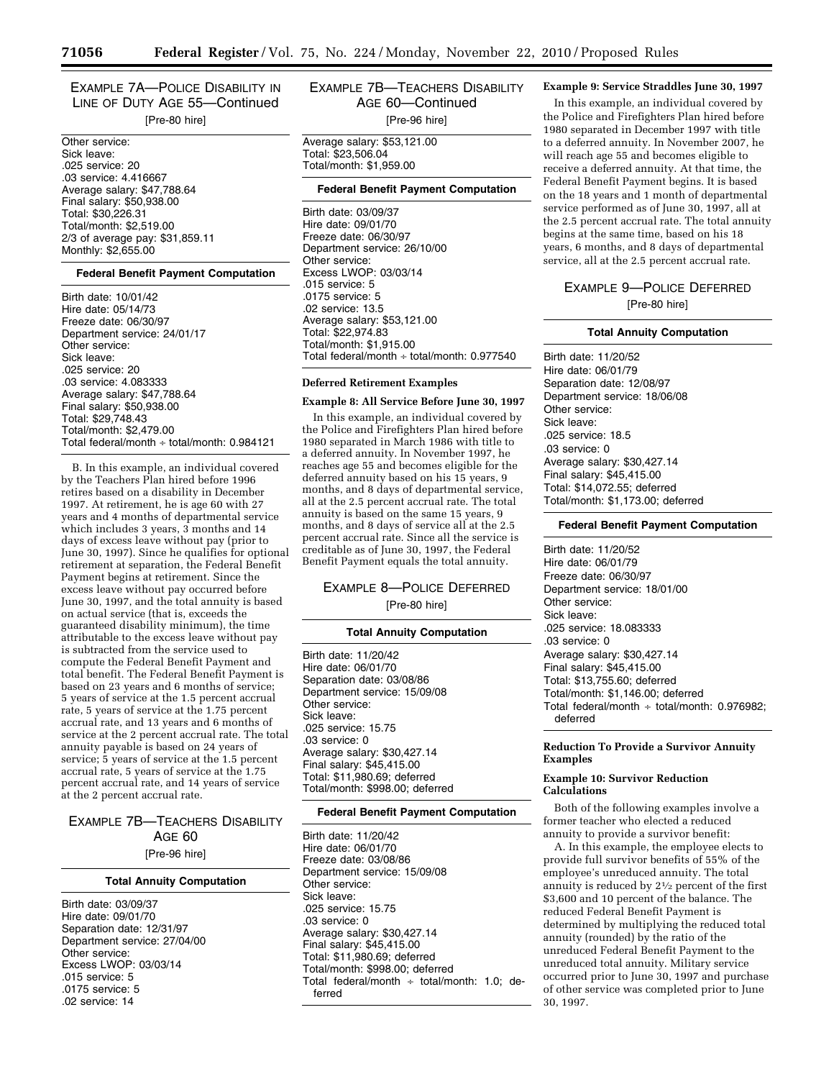EXAMPLE 7A—POLICE DISABILITY IN LINE OF DUTY AGE 55—Continued [Pre-80 hire]

Other service: Sick leave: .025 service: 20 .03 service: 4.416667 Average salary: \$47,788.64 Final salary: \$50,938.00 Total: \$30,226.31 Total/month: \$2,519.00 2/3 of average pay: \$31,859.11 Monthly: \$2,655.00

#### **Federal Benefit Payment Computation**

Birth date: 10/01/42 Hire date: 05/14/73 Freeze date: 06/30/97 Department service: 24/01/17 Other service: Sick leave: .025 service: 20 .03 service: 4.083333 Average salary: \$47,788.64 Final salary: \$50,938.00 Total: \$29,748.43 Total/month: \$2,479.00 Total federal/month ÷ total/month: 0.984121

B. In this example, an individual covered by the Teachers Plan hired before 1996 retires based on a disability in December 1997. At retirement, he is age 60 with 27 years and 4 months of departmental service which includes 3 years, 3 months and 14 days of excess leave without pay (prior to June 30, 1997). Since he qualifies for optional retirement at separation, the Federal Benefit Payment begins at retirement. Since the excess leave without pay occurred before June 30, 1997, and the total annuity is based on actual service (that is, exceeds the guaranteed disability minimum), the time attributable to the excess leave without pay is subtracted from the service used to compute the Federal Benefit Payment and total benefit. The Federal Benefit Payment is based on 23 years and 6 months of service; 5 years of service at the 1.5 percent accrual rate, 5 years of service at the 1.75 percent accrual rate, and 13 years and 6 months of service at the 2 percent accrual rate. The total annuity payable is based on 24 years of service; 5 years of service at the 1.5 percent accrual rate, 5 years of service at the 1.75 percent accrual rate, and 14 years of service at the 2 percent accrual rate.

# EXAMPLE 7B—TEACHERS DISABILITY AGE 60 [Pre-96 hire]

#### **Total Annuity Computation**

Birth date: 03/09/37 Hire date: 09/01/70 Separation date: 12/31/97 Department service: 27/04/00 Other service: Excess LWOP: 03/03/14 .015 service: 5 .0175 service: 5 .02 service: 14

EXAMPLE 7B—TEACHERS DISABILITY AGE 60—Continued [Pre-96 hire]

Average salary: \$53,121.00 Total: \$23,506.04 Total/month: \$1,959.00

#### **Federal Benefit Payment Computation**

Birth date: 03/09/37 Hire date: 09/01/70 Freeze date: 06/30/97 Department service: 26/10/00 Other service: Excess LWOP: 03/03/14 .015 service: 5 .0175 service: 5 .02 service: 13.5 Average salary: \$53,121.00 Total: \$22,974.83 Total/month: \$1,915.00 Total federal/month  $\div$  total/month: 0.977540

#### **Deferred Retirement Examples**

# **Example 8: All Service Before June 30, 1997**

In this example, an individual covered by the Police and Firefighters Plan hired before 1980 separated in March 1986 with title to a deferred annuity. In November 1997, he reaches age 55 and becomes eligible for the deferred annuity based on his 15 years, 9 months, and 8 days of departmental service, all at the 2.5 percent accrual rate. The total annuity is based on the same 15 years, 9 months, and 8 days of service all at the 2.5 percent accrual rate. Since all the service is creditable as of June 30, 1997, the Federal Benefit Payment equals the total annuity.

# EXAMPLE 8—POLICE DEFERRED [Pre-80 hire]

#### **Total Annuity Computation**

Birth date: 11/20/42 Hire date: 06/01/70 Separation date: 03/08/86 Department service: 15/09/08 Other service: Sick leave: .025 service: 15.75 .03 service: 0 Average salary: \$30,427.14 Final salary: \$45,415.00 Total: \$11,980.69; deferred Total/month: \$998.00; deferred

#### **Federal Benefit Payment Computation**

Birth date: 11/20/42 Hire date: 06/01/70 Freeze date: 03/08/86 Department service: 15/09/08 Other service: Sick leave: .025 service: 15.75 .03 service: 0 Average salary: \$30,427.14 Final salary: \$45,415.00 Total: \$11,980.69; deferred Total/month: \$998.00; deferred Total federal/month  $\div$  total/month: 1.0; deferred

# **Example 9: Service Straddles June 30, 1997**

In this example, an individual covered by the Police and Firefighters Plan hired before 1980 separated in December 1997 with title to a deferred annuity. In November 2007, he will reach age 55 and becomes eligible to receive a deferred annuity. At that time, the Federal Benefit Payment begins. It is based on the 18 years and 1 month of departmental service performed as of June 30, 1997, all at the 2.5 percent accrual rate. The total annuity begins at the same time, based on his 18 years, 6 months, and 8 days of departmental service, all at the 2.5 percent accrual rate.

# EXAMPLE 9—POLICE DEFERRED

[Pre-80 hire]

#### **Total Annuity Computation**

Birth date: 11/20/52 Hire date: 06/01/79 Separation date: 12/08/97 Department service: 18/06/08 Other service: Sick leave: .025 service: 18.5 .03 service: 0 Average salary: \$30,427.14 Final salary: \$45,415.00 Total: \$14,072.55; deferred Total/month: \$1,173.00; deferred

#### **Federal Benefit Payment Computation**

Birth date: 11/20/52 Hire date: 06/01/79 Freeze date: 06/30/97 Department service: 18/01/00 Other service: Sick leave: .025 service: 18.083333 .03 service: 0 Average salary: \$30,427.14 Final salary: \$45,415.00 Total: \$13,755.60; deferred Total/month: \$1,146.00; deferred Total federal/month  $\div$  total/month: 0.976982; deferred

### **Reduction To Provide a Survivor Annuity Examples**

# **Example 10: Survivor Reduction Calculations**

Both of the following examples involve a former teacher who elected a reduced annuity to provide a survivor benefit:

A. In this example, the employee elects to provide full survivor benefits of 55% of the employee's unreduced annuity. The total annuity is reduced by 21⁄2 percent of the first \$3,600 and 10 percent of the balance. The reduced Federal Benefit Payment is determined by multiplying the reduced total annuity (rounded) by the ratio of the unreduced Federal Benefit Payment to the unreduced total annuity. Military service occurred prior to June 30, 1997 and purchase of other service was completed prior to June 30, 1997.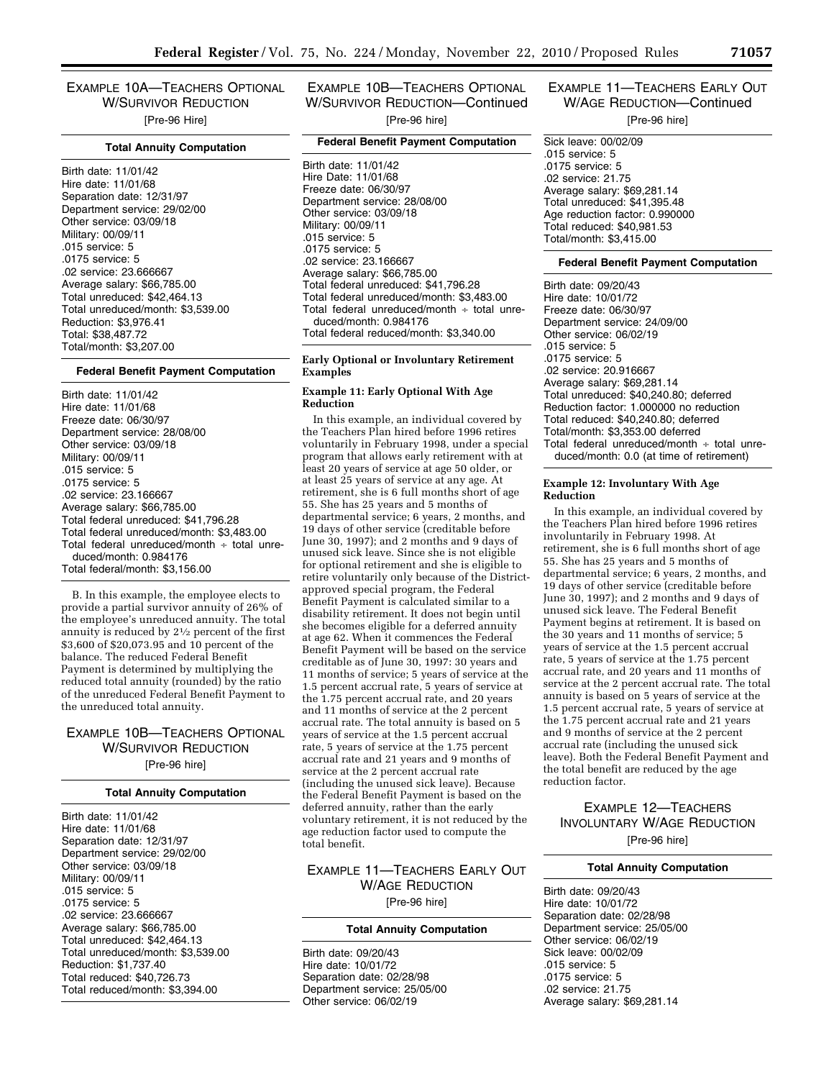EXAMPLE 10A—TEACHERS OPTIONAL W/SURVIVOR REDUCTION [Pre-96 Hire]

#### **Total Annuity Computation**

Birth date: 11/01/42 Hire date: 11/01/68 Separation date: 12/31/97 Department service: 29/02/00 Other service: 03/09/18 Military: 00/09/11 .015 service: 5 .0175 service: 5 .02 service: 23.666667 Average salary: \$66,785.00 Total unreduced: \$42,464.13 Total unreduced/month: \$3,539.00 Reduction: \$3,976.41 Total: \$38,487.72 Total/month: \$3,207.00

#### **Federal Benefit Payment Computation**

Birth date: 11/01/42 Hire date: 11/01/68 Freeze date: 06/30/97 Department service: 28/08/00 Other service: 03/09/18 Military: 00/09/11 .015 service: 5 .0175 service: 5 .02 service: 23.166667 Average salary: \$66,785.00 Total federal unreduced: \$41,796.28 Total federal unreduced/month: \$3,483.00 Total federal unreduced/month  $\div$  total unreduced/month: 0.984176 Total federal/month: \$3,156.00

B. In this example, the employee elects to provide a partial survivor annuity of 26% of the employee's unreduced annuity. The total annuity is reduced by 21⁄2 percent of the first \$3,600 of \$20,073.95 and 10 percent of the balance. The reduced Federal Benefit Payment is determined by multiplying the reduced total annuity (rounded) by the ratio of the unreduced Federal Benefit Payment to the unreduced total annuity.

# EXAMPLE 10B—TEACHERS OPTIONAL W/SURVIVOR REDUCTION [Pre-96 hire]

#### **Total Annuity Computation**

Birth date: 11/01/42 Hire date: 11/01/68 Separation date: 12/31/97 Department service: 29/02/00 Other service: 03/09/18 Military: 00/09/11 .015 service: 5 .0175 service: 5 .02 service: 23.666667 Average salary: \$66,785.00 Total unreduced: \$42,464.13 Total unreduced/month: \$3,539.00 Reduction: \$1,737.40 Total reduced: \$40,726.73 Total reduced/month: \$3,394.00

EXAMPLE 10B—TEACHERS OPTIONAL W/SURVIVOR REDUCTION—Continued [Pre-96 hire]

# **Federal Benefit Payment Computation**

Birth date: 11/01/42 Hire Date: 11/01/68 Freeze date: 06/30/97 Department service: 28/08/00 Other service: 03/09/18 Military: 00/09/11 .015 service: 5 .0175 service: 5 .02 service: 23.166667 Average salary: \$66,785.00 Total federal unreduced: \$41,796.28 Total federal unreduced/month: \$3,483.00 Total federal unreduced/month ÷ total unreduced/month: 0.984176 Total federal reduced/month: \$3,340.00

# **Early Optional or Involuntary Retirement Examples**

#### **Example 11: Early Optional With Age Reduction**

In this example, an individual covered by the Teachers Plan hired before 1996 retires voluntarily in February 1998, under a special program that allows early retirement with at least 20 years of service at age 50 older, or at least 25 years of service at any age. At retirement, she is 6 full months short of age 55. She has 25 years and 5 months of departmental service; 6 years, 2 months, and 19 days of other service (creditable before June 30, 1997); and 2 months and 9 days of unused sick leave. Since she is not eligible for optional retirement and she is eligible to retire voluntarily only because of the Districtapproved special program, the Federal Benefit Payment is calculated similar to a disability retirement. It does not begin until she becomes eligible for a deferred annuity at age 62. When it commences the Federal Benefit Payment will be based on the service creditable as of June 30, 1997: 30 years and 11 months of service; 5 years of service at the 1.5 percent accrual rate, 5 years of service at the 1.75 percent accrual rate, and 20 years and 11 months of service at the 2 percent accrual rate. The total annuity is based on 5 years of service at the 1.5 percent accrual rate, 5 years of service at the 1.75 percent accrual rate and 21 years and 9 months of service at the 2 percent accrual rate (including the unused sick leave). Because the Federal Benefit Payment is based on the deferred annuity, rather than the early voluntary retirement, it is not reduced by the age reduction factor used to compute the total benefit.

EXAMPLE 11—TEACHERS EARLY OUT W/AGE REDUCTION [Pre-96 hire]

#### **Total Annuity Computation**

Birth date: 09/20/43 Hire date: 10/01/72 Separation date: 02/28/98 Department service: 25/05/00 Other service: 06/02/19

# EXAMPLE 11—TEACHERS EARLY OUT W/AGE REDUCTION—Continued

[Pre-96 hire]

Sick leave: 00/02/09 .015 service: 5 .0175 service: 5 .02 service: 21.75 Average salary: \$69,281.14 Total unreduced: \$41,395.48 Age reduction factor: 0.990000 Total reduced: \$40,981.53 Total/month: \$3,415.00

# **Federal Benefit Payment Computation**

Birth date: 09/20/43 Hire date: 10/01/72 Freeze date: 06/30/97 Department service: 24/09/00 Other service: 06/02/19 .015 service: 5 .0175 service: 5 .02 service: 20.916667 Average salary: \$69,281.14 Total unreduced: \$40,240.80; deferred Reduction factor: 1.000000 no reduction Total reduced: \$40,240.80; deferred Total/month: \$3,353.00 deferred Total federal unreduced/month  $\div$  total unreduced/month: 0.0 (at time of retirement)

#### **Example 12: Involuntary With Age Reduction**

In this example, an individual covered by the Teachers Plan hired before 1996 retires involuntarily in February 1998. At retirement, she is 6 full months short of age 55. She has 25 years and 5 months of departmental service; 6 years, 2 months, and 19 days of other service (creditable before June 30, 1997); and 2 months and 9 days of unused sick leave. The Federal Benefit Payment begins at retirement. It is based on the 30 years and 11 months of service; 5 years of service at the 1.5 percent accrual rate, 5 years of service at the 1.75 percent accrual rate, and 20 years and 11 months of service at the 2 percent accrual rate. The total annuity is based on 5 years of service at the 1.5 percent accrual rate, 5 years of service at the 1.75 percent accrual rate and 21 years and 9 months of service at the 2 percent accrual rate (including the unused sick leave). Both the Federal Benefit Payment and the total benefit are reduced by the age reduction factor.

# EXAMPLE 12—TEACHERS INVOLUNTARY W/AGE REDUCTION [Pre-96 hire]

#### **Total Annuity Computation**

Birth date: 09/20/43 Hire date: 10/01/72 Separation date: 02/28/98 Department service: 25/05/00 Other service: 06/02/19 Sick leave: 00/02/09 .015 service: 5 .0175 service: 5 .02 service: 21.75 Average salary: \$69,281.14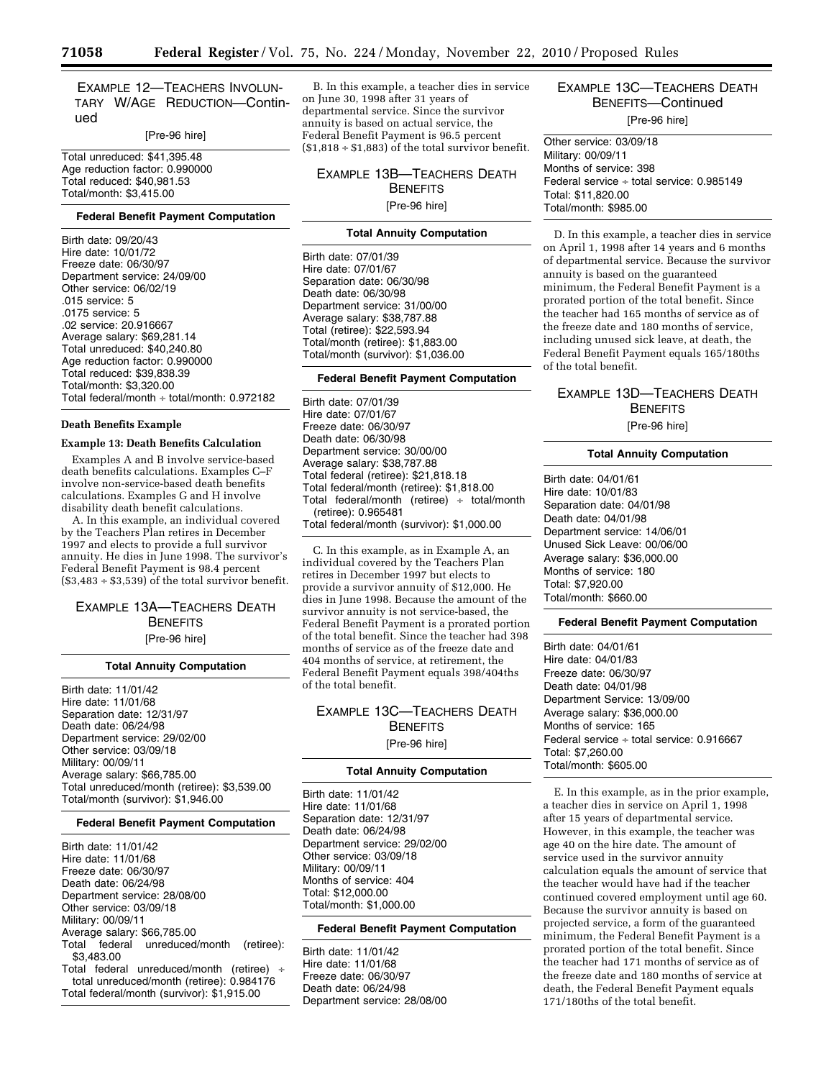EXAMPLE 12—TEACHERS INVOLUN-TARY W/AGE REDUCTION—Continued

[Pre-96 hire]

Total unreduced: \$41,395.48 Age reduction factor: 0.990000 Total reduced: \$40,981.53 Total/month: \$3,415.00

#### **Federal Benefit Payment Computation**

Birth date: 09/20/43 Hire date: 10/01/72 Freeze date: 06/30/97 Department service: 24/09/00 Other service: 06/02/19 .015 service: 5 .0175 service: 5 .02 service: 20.916667 Average salary: \$69,281.14 Total unreduced: \$40,240.80 Age reduction factor: 0.990000 Total reduced: \$39,838.39 Total/month: \$3,320.00 Total federal/month ÷ total/month: 0.972182

#### **Death Benefits Example**

# **Example 13: Death Benefits Calculation**

Examples A and B involve service-based death benefits calculations. Examples C–F involve non-service-based death benefits calculations. Examples G and H involve disability death benefit calculations.

A. In this example, an individual covered by the Teachers Plan retires in December 1997 and elects to provide a full survivor annuity. He dies in June 1998. The survivor's Federal Benefit Payment is 98.4 percent  $($3,483 + $3,539)$  of the total survivor benefit.

# EXAMPLE 13A—TEACHERS DEATH **BENEFITS**

[Pre-96 hire]

#### **Total Annuity Computation**

Birth date: 11/01/42 Hire date: 11/01/68 Separation date: 12/31/97 Death date: 06/24/98 Department service: 29/02/00 Other service: 03/09/18 Military: 00/09/11 Average salary: \$66,785.00 Total unreduced/month (retiree): \$3,539.00 Total/month (survivor): \$1,946.00

#### **Federal Benefit Payment Computation**

Birth date: 11/01/42 Hire date: 11/01/68 Freeze date: 06/30/97 Death date: 06/24/98 Department service: 28/08/00 Other service: 03/09/18 Military: 00/09/11 Average salary: \$66,785.00 Total federal unreduced/month (retiree): \$3,483.00 Total federal unreduced/month (retiree) ÷ total unreduced/month (retiree): 0.984176

Total federal/month (survivor): \$1,915.00

B. In this example, a teacher dies in service on June 30, 1998 after 31 years of departmental service. Since the survivor annuity is based on actual service, the Federal Benefit Payment is 96.5 percent  $($1,818 \div $1,883)$  of the total survivor benefit.

EXAMPLE 13B—TEACHERS DEATH **BENEFITS** [Pre-96 hire]

# **Total Annuity Computation**

Birth date: 07/01/39 Hire date: 07/01/67 Separation date: 06/30/98 Death date: 06/30/98 Department service: 31/00/00 Average salary: \$38,787.88 Total (retiree): \$22,593.94 Total/month (retiree): \$1,883.00 Total/month (survivor): \$1,036.00

#### **Federal Benefit Payment Computation**

Birth date: 07/01/39 Hire date: 07/01/67 Freeze date: 06/30/97 Death date: 06/30/98 Department service: 30/00/00 Average salary: \$38,787.88 Total federal (retiree): \$21,818.18 Total federal/month (retiree): \$1,818.00 Total federal/month (retiree)  $\div$  total/month (retiree): 0.965481 Total federal/month (survivor): \$1,000.00

C. In this example, as in Example A, an individual covered by the Teachers Plan retires in December 1997 but elects to provide a survivor annuity of \$12,000. He dies in June 1998. Because the amount of the survivor annuity is not service-based, the Federal Benefit Payment is a prorated portion of the total benefit. Since the teacher had 398 months of service as of the freeze date and 404 months of service, at retirement, the Federal Benefit Payment equals 398/404ths of the total benefit.

# EXAMPLE 13C—TEACHERS DEATH **BENEFITS**

[Pre-96 hire]

# **Total Annuity Computation**

Birth date: 11/01/42 Hire date: 11/01/68 Separation date: 12/31/97 Death date: 06/24/98 Department service: 29/02/00 Other service: 03/09/18 Military: 00/09/11 Months of service: 404 Total: \$12,000.00 Total/month: \$1,000.00

#### **Federal Benefit Payment Computation**

Birth date: 11/01/42 Hire date: 11/01/68 Freeze date: 06/30/97 Death date: 06/24/98 Department service: 28/08/00

# EXAMPLE 13C—TEACHERS DEATH BENEFITS—Continued [Pre-96 hire]

Other service: 03/09/18 Military: 00/09/11 Months of service: 398 Federal service ÷ total service: 0.985149 Total: \$11,820.00 Total/month: \$985.00

D. In this example, a teacher dies in service on April 1, 1998 after 14 years and 6 months of departmental service. Because the survivor annuity is based on the guaranteed minimum, the Federal Benefit Payment is a prorated portion of the total benefit. Since the teacher had 165 months of service as of the freeze date and 180 months of service, including unused sick leave, at death, the Federal Benefit Payment equals 165/180ths of the total benefit.

# EXAMPLE 13D—TEACHERS DEATH **BENEFITS** [Pre-96 hire]

### **Total Annuity Computation**

Birth date: 04/01/61 Hire date: 10/01/83 Separation date: 04/01/98 Death date: 04/01/98 Department service: 14/06/01 Unused Sick Leave: 00/06/00 Average salary: \$36,000.00 Months of service: 180 Total: \$7,920.00 Total/month: \$660.00

# **Federal Benefit Payment Computation**

Birth date: 04/01/61 Hire date: 04/01/83 Freeze date: 06/30/97 Death date: 04/01/98 Department Service: 13/09/00 Average salary: \$36,000.00 Months of service: 165 Federal service ÷ total service: 0.916667 Total: \$7,260.00 Total/month: \$605.00

E. In this example, as in the prior example, a teacher dies in service on April 1, 1998 after 15 years of departmental service. However, in this example, the teacher was age 40 on the hire date. The amount of service used in the survivor annuity calculation equals the amount of service that the teacher would have had if the teacher continued covered employment until age 60. Because the survivor annuity is based on projected service, a form of the guaranteed minimum, the Federal Benefit Payment is a prorated portion of the total benefit. Since the teacher had 171 months of service as of the freeze date and 180 months of service at death, the Federal Benefit Payment equals 171/180ths of the total benefit.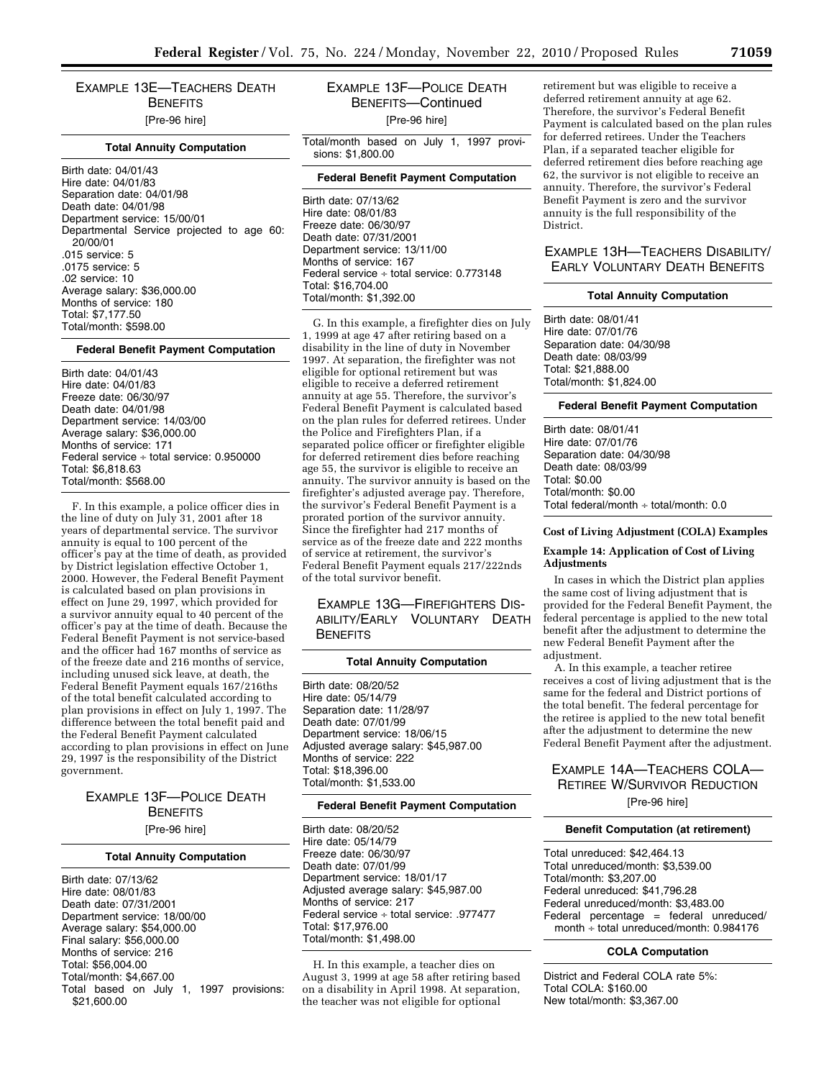EXAMPLE 13E—TEACHERS DEATH **BENEFITS** [Pre-96 hire]

#### **Total Annuity Computation**

Birth date: 04/01/43 Hire date: 04/01/83 Separation date: 04/01/98 Death date: 04/01/98 Department service: 15/00/01 Departmental Service projected to age 60: 20/00/01 .015 service: 5 .0175 service: 5 .02 service: 10 Average salary: \$36,000.00 Months of service: 180 Total: \$7,177.50 Total/month: \$598.00

#### **Federal Benefit Payment Computation**

Birth date: 04/01/43 Hire date: 04/01/83 Freeze date: 06/30/97 Death date: 04/01/98 Department service: 14/03/00 Average salary: \$36,000.00 Months of service: 171 Federal service ÷ total service: 0.950000 Total: \$6,818.63 Total/month: \$568.00

F. In this example, a police officer dies in the line of duty on July 31, 2001 after 18 years of departmental service. The survivor annuity is equal to 100 percent of the officer's pay at the time of death, as provided by District legislation effective October 1, 2000. However, the Federal Benefit Payment is calculated based on plan provisions in effect on June 29, 1997, which provided for a survivor annuity equal to 40 percent of the officer's pay at the time of death. Because the Federal Benefit Payment is not service-based and the officer had 167 months of service as of the freeze date and 216 months of service, including unused sick leave, at death, the Federal Benefit Payment equals 167/216ths of the total benefit calculated according to plan provisions in effect on July 1, 1997. The difference between the total benefit paid and the Federal Benefit Payment calculated according to plan provisions in effect on June 29, 1997 is the responsibility of the District government.

> EXAMPLE 13F—POLICE DEATH **BENEFITS** [Pre-96 hire]

#### **Total Annuity Computation**

Birth date: 07/13/62 Hire date: 08/01/83 Death date: 07/31/2001 Department service: 18/00/00 Average salary: \$54,000.00 Final salary: \$56,000.00 Months of service: 216 Total: \$56,004.00 Total/month: \$4,667.00 Total based on July 1, 1997 provisions: \$21,600.00

# EXAMPLE 13F—POLICE DEATH BENEFITS—Continued [Pre-96 hire]

Total/month based on July 1, 1997 provisions: \$1,800.00

#### **Federal Benefit Payment Computation**

Birth date: 07/13/62 Hire date: 08/01/83 Freeze date: 06/30/97 Death date: 07/31/2001 Department service: 13/11/00 Months of service: 167 Federal service ÷ total service: 0.773148 Total: \$16,704.00 Total/month: \$1,392.00

G. In this example, a firefighter dies on July 1, 1999 at age 47 after retiring based on a disability in the line of duty in November 1997. At separation, the firefighter was not eligible for optional retirement but was eligible to receive a deferred retirement annuity at age 55. Therefore, the survivor's Federal Benefit Payment is calculated based on the plan rules for deferred retirees. Under the Police and Firefighters Plan, if a separated police officer or firefighter eligible for deferred retirement dies before reaching age 55, the survivor is eligible to receive an annuity. The survivor annuity is based on the firefighter's adjusted average pay. Therefore, the survivor's Federal Benefit Payment is a prorated portion of the survivor annuity. Since the firefighter had 217 months of service as of the freeze date and 222 months of service at retirement, the survivor's Federal Benefit Payment equals 217/222nds of the total survivor benefit.

# EXAMPLE 13G—FIREFIGHTERS DIS-ABILITY/EARLY VOLUNTARY DEATH **BENEFITS**

#### **Total Annuity Computation**

Birth date: 08/20/52 Hire date: 05/14/79 Separation date: 11/28/97 Death date: 07/01/99 Department service: 18/06/15 Adjusted average salary: \$45,987.00 Months of service: 222 Total: \$18,396.00 Total/month: \$1,533.00

#### **Federal Benefit Payment Computation**

Birth date: 08/20/52 Hire date: 05/14/79 Freeze date: 06/30/97 Death date: 07/01/99 Department service: 18/01/17 Adjusted average salary: \$45,987.00 Months of service: 217 Federal service ÷ total service: .977477 Total: \$17,976.00 Total/month: \$1,498.00

H. In this example, a teacher dies on August 3, 1999 at age 58 after retiring based on a disability in April 1998. At separation, the teacher was not eligible for optional

retirement but was eligible to receive a deferred retirement annuity at age 62. Therefore, the survivor's Federal Benefit Payment is calculated based on the plan rules for deferred retirees. Under the Teachers Plan, if a separated teacher eligible for deferred retirement dies before reaching age 62, the survivor is not eligible to receive an annuity. Therefore, the survivor's Federal Benefit Payment is zero and the survivor annuity is the full responsibility of the District.

# EXAMPLE 13H—TEACHERS DISABILITY/ EARLY VOLUNTARY DEATH BENEFITS

#### **Total Annuity Computation**

Birth date: 08/01/41 Hire date: 07/01/76 Separation date: 04/30/98 Death date: 08/03/99 Total: \$21,888.00 Total/month: \$1,824.00

# **Federal Benefit Payment Computation**

Birth date: 08/01/41 Hire date: 07/01/76 Separation date: 04/30/98 Death date: 08/03/99 Total: \$0.00 Total/month: \$0.00 Total federal/month  $\div$  total/month: 0.0

#### **Cost of Living Adjustment (COLA) Examples**

#### **Example 14: Application of Cost of Living Adjustments**

In cases in which the District plan applies the same cost of living adjustment that is provided for the Federal Benefit Payment, the federal percentage is applied to the new total benefit after the adjustment to determine the new Federal Benefit Payment after the adjustment.

A. In this example, a teacher retiree receives a cost of living adjustment that is the same for the federal and District portions of the total benefit. The federal percentage for the retiree is applied to the new total benefit after the adjustment to determine the new Federal Benefit Payment after the adjustment.

# EXAMPLE 14A—TEACHERS COLA— RETIREE W/SURVIVOR REDUCTION

[Pre-96 hire]

#### **Benefit Computation (at retirement)**

Total unreduced: \$42,464.13 Total unreduced/month: \$3,539.00 Total/month: \$3,207.00 Federal unreduced: \$41,796.28 Federal unreduced/month: \$3,483.00 Federal percentage = federal unreduced/ month ÷ total unreduced/month: 0.984176

# **COLA Computation**

District and Federal COLA rate 5%: Total COLA: \$160.00 New total/month: \$3,367.00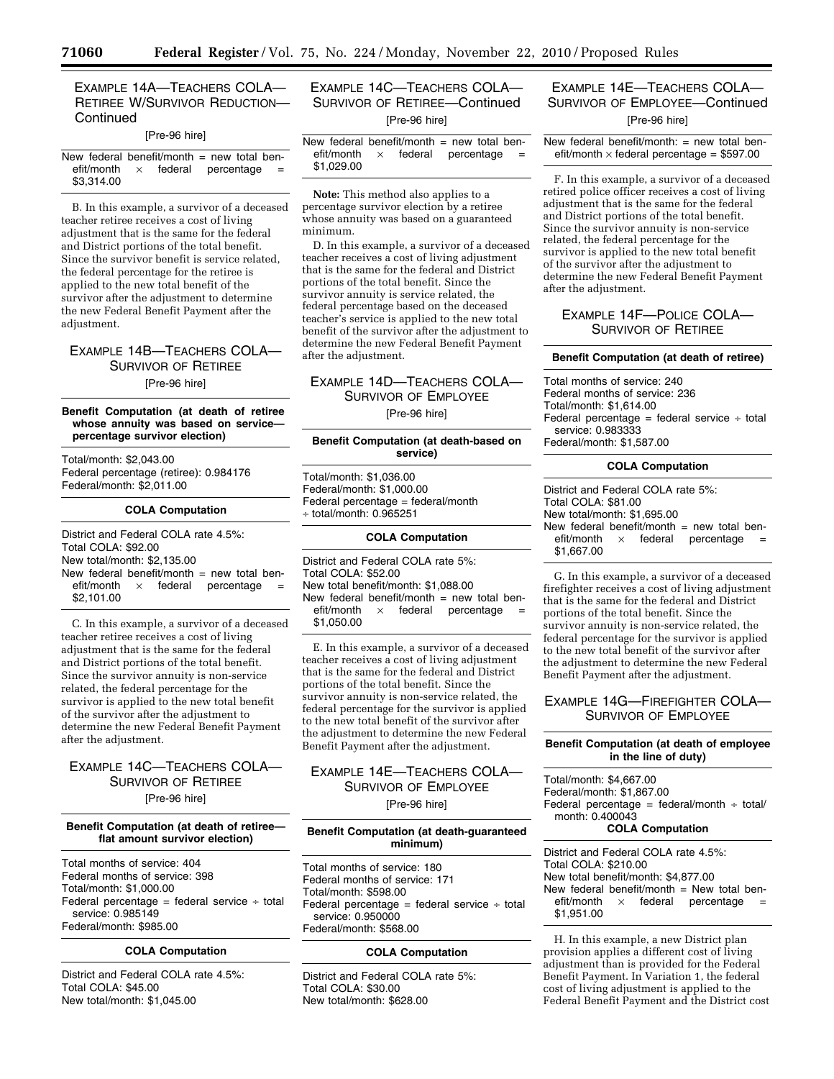# EXAMPLE 14A—TEACHERS COLA— RETIREE W/SURVIVOR REDUCTION— **Continued**

#### [Pre-96 hire]

New federal benefit/month  $=$  new total ben $efi/m$ onth  $\times$  federal percentage \$3,314.00

B. In this example, a survivor of a deceased teacher retiree receives a cost of living adjustment that is the same for the federal and District portions of the total benefit. Since the survivor benefit is service related, the federal percentage for the retiree is applied to the new total benefit of the survivor after the adjustment to determine the new Federal Benefit Payment after the adjustment.

EXAMPLE 14B—TEACHERS COLA— SURVIVOR OF RETIREE [Pre-96 hire]

# **Benefit Computation (at death of retiree whose annuity was based on service percentage survivor election)**

Total/month: \$2,043.00 Federal percentage (retiree): 0.984176 Federal/month: \$2,011.00

#### **COLA Computation**

District and Federal COLA rate 4.5%: Total COLA: \$92.00 New total/month: \$2,135.00 New federal benefit/month  $=$  new total ben $e$ fit/month  $\times$  federal percentage \$2,101.00

C. In this example, a survivor of a deceased teacher retiree receives a cost of living adjustment that is the same for the federal and District portions of the total benefit. Since the survivor annuity is non-service related, the federal percentage for the survivor is applied to the new total benefit of the survivor after the adjustment to determine the new Federal Benefit Payment after the adjustment.

# EXAMPLE 14C—TEACHERS COLA— SURVIVOR OF RETIREE [Pre-96 hire]

#### **Benefit Computation (at death of retiree flat amount survivor election)**

Total months of service: 404 Federal months of service: 398 Total/month: \$1,000.00 Federal percentage = federal service  $\div$  total service: 0.985149 Federal/month: \$985.00

### **COLA Computation**

District and Federal COLA rate 4.5%: Total COLA: \$45.00 New total/month: \$1,045.00

# EXAMPLE 14C—TEACHERS COLA— SURVIVOR OF RETIREE—Continued [Pre-96 hire]

New federal benefit/month = new total ben-<br>efit/month  $\times$  federal percentage =  $\times$  federal percentage \$1,029.00

**Note:** This method also applies to a percentage survivor election by a retiree whose annuity was based on a guaranteed minimum.

D. In this example, a survivor of a deceased teacher receives a cost of living adjustment that is the same for the federal and District portions of the total benefit. Since the survivor annuity is service related, the federal percentage based on the deceased teacher's service is applied to the new total benefit of the survivor after the adjustment to determine the new Federal Benefit Payment after the adjustment.

# EXAMPLE 14D—TEACHERS COLA— SURVIVOR OF EMPLOYEE [Pre-96 hire]

### **Benefit Computation (at death-based on service)**

Total/month: \$1,036.00 Federal/month: \$1,000.00 Federal percentage = federal/month  $\div$  total/month: 0.965251

#### **COLA Computation**

District and Federal COLA rate 5%: Total COLA: \$52.00 New total benefit/month: \$1,088.00 New federal benefit/month  $=$  new total ben $e$ fit/month  $\times$  federal percentage \$1,050.00

E. In this example, a survivor of a deceased teacher receives a cost of living adjustment that is the same for the federal and District portions of the total benefit. Since the survivor annuity is non-service related, the federal percentage for the survivor is applied to the new total benefit of the survivor after the adjustment to determine the new Federal Benefit Payment after the adjustment.

# EXAMPLE 14E—TEACHERS COLA— SURVIVOR OF EMPLOYEE [Pre-96 hire]

#### **Benefit Computation (at death-guaranteed minimum)**

Total months of service: 180 Federal months of service: 171 Total/month: \$598.00 Federal percentage = federal service  $\div$  total service: 0.950000 Federal/month: \$568.00

#### **COLA Computation**

District and Federal COLA rate 5%: Total COLA: \$30.00 New total/month: \$628.00

# EXAMPLE 14E—TEACHERS COLA— SURVIVOR OF EMPLOYEE—Continued [Pre-96 hire]

New federal benefit/month:  $=$  new total benefit/month  $\times$  federal percentage = \$597.00

F. In this example, a survivor of a deceased retired police officer receives a cost of living adjustment that is the same for the federal and District portions of the total benefit. Since the survivor annuity is non-service related, the federal percentage for the survivor is applied to the new total benefit of the survivor after the adjustment to determine the new Federal Benefit Payment after the adjustment.

# EXAMPLE 14F—POLICE COLA— SURVIVOR OF RETIREE

#### **Benefit Computation (at death of retiree)**

Total months of service: 240 Federal months of service: 236 Total/month: \$1,614.00 Federal percentage = federal service  $\div$  total service: 0.983333 Federal/month: \$1,587.00

#### **COLA Computation**

District and Federal COLA rate 5%: Total COLA: \$81.00 New total/month: \$1,695.00 New federal benefit/month = new total ben-<br>efit/month  $\times$  federal percentage =  $\times$  federal percentage \$1,667.00

G. In this example, a survivor of a deceased firefighter receives a cost of living adjustment that is the same for the federal and District portions of the total benefit. Since the survivor annuity is non-service related, the federal percentage for the survivor is applied to the new total benefit of the survivor after the adjustment to determine the new Federal Benefit Payment after the adjustment.

# EXAMPLE 14G—FIREFIGHTER COLA— SURVIVOR OF EMPLOYEE

#### **Benefit Computation (at death of employee in the line of duty)**

Total/month: \$4,667.00 Federal/month: \$1,867.00 Federal percentage = federal/month  $\div$  total/ month: 0.400043 **COLA Computation** 

District and Federal COLA rate 4.5%: Total COLA: \$210.00 New total benefit/month: \$4,877.00 New federal benefit/month  $=$  New total ben $e$ fit/month  $\times$  federal percentage \$1,951.00

H. In this example, a new District plan provision applies a different cost of living adjustment than is provided for the Federal Benefit Payment. In Variation 1, the federal cost of living adjustment is applied to the Federal Benefit Payment and the District cost